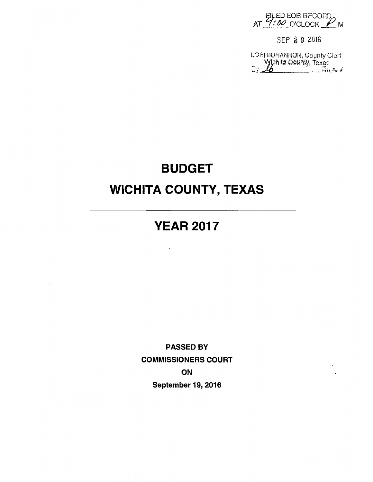AT 7:00 O'CLOCK P M

SEP 2 9 2016

LORI BOHANNON, County Cleri<br>Wighita County, Texas<br>Cy <u>4</u>

# BUDGET WICHITA COUNTY, TEXAS

# YEAR 2017

PASSED BY COMMISSIONERS COURT ON September 19, 2016

 $\sim$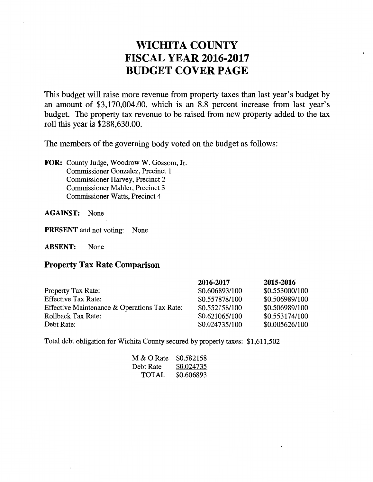## WICHITA COUNTY FISCAL YEAR 2016-2017 BUDGET COVER PAGE

This budget will raise more revenue from property taxes than last year's budget by an amount of \$3,170,004.00, which is an 8.8 percent increase from last year's budget. The property tax revenue to be raised from new property added to the tax roll this year is \$288,630.00.

The members of the governing body voted on the budget as follows:

FOR: County Judge, Woodrow W. Gossom, Jr. Commissioner Gonzalez, Precinct 1 Commissioner Harvey, Precinct 2 Commissioner Mahler, Precinct 3 Commissioner Watts, Precinct 4

AGAINST: None

PRESENT and not voting: None

ABSENT: None

### Property Tax Rate Comparison

|                                              | 2016-2017      | 2015-2016      |
|----------------------------------------------|----------------|----------------|
| Property Tax Rate:                           | \$0.606893/100 | \$0.553000/100 |
| <b>Effective Tax Rate:</b>                   | \$0.557878/100 | \$0.506989/100 |
| Effective Maintenance & Operations Tax Rate: | \$0.552158/100 | \$0.506989/100 |
| Rollback Tax Rate:                           | \$0.621065/100 | \$0.553174/100 |
| Debt Rate:                                   | \$0.024735/100 | \$0.005626/100 |

Total debt obligation for Wichita County secured by property taxes: \$1,611,502

| M & O Rate | \$0.582158 |
|------------|------------|
| Debt Rate  | \$0.024735 |
| TOTAL      | \$0.606893 |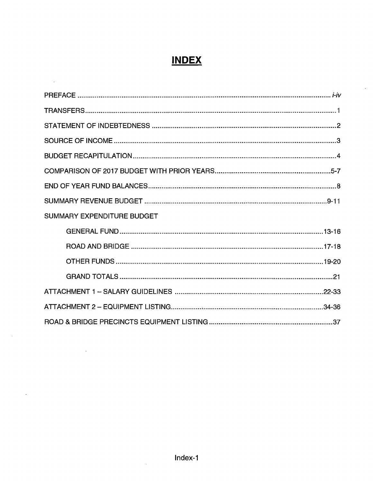# **INDEX**

 $\overline{\phantom{a}}$ 

| SUMMARY EXPENDITURE BUDGET |  |
|----------------------------|--|
|                            |  |
|                            |  |
|                            |  |
|                            |  |
|                            |  |
|                            |  |
|                            |  |

 $\ddot{\phantom{a}}$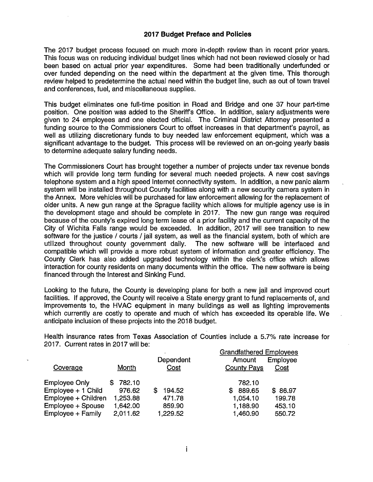#### **2017 Budget Preface and Policies**

The 2017 budget process focused on much more in-depth review than in recent prior years. This focus was on reducing individual budget lines which had not been reviewed closely or had been based on actual prior year expenditures. Some had been traditionally underfunded or over funded depending on the need within the department at the given time, This thorough review helped to predetermine the actual need within the budget line, such as out of town travel and conferences, fuel, and miscellaneous supplies.

This budget eliminates one full-time position in Road and Bridge and one 37 hour part-time position. One position was added to the Sheriff's Office. In addition, salary adjustments were given to 24 employees and one elected official. The Criminal District Attorney presented a funding source to the Commissioners Court to offset increases in that department's payroll, as well as utilizing discretionary funds to buy needed law enforcement equipment, which was a significant advantage to the budget. This process will be reviewed on an on-going yearly basis to determine adequate salary funding needs.

The Commissioners Court has brought together a number of projects under tax revenue bonds which will provide long term funding for several much needed projects. A new cost savings telephone system and a high speed Internet connectivity system. In addition, a new panic alarm system will be installed throughout County facilities along with a new security camera system in the Annex. More vehicles will be purchased for law enforcement allowing for the replacement of older units. A new gun range at the Sprague facility which allows for multiple agency use is in the development stage and should be complete in 2017. The new gun range was required because of the county's expired long term lease of a prior facility and the current capacity of the City of Wichita Falls range would be exceeded. In addition, 2017 will see transition to new software for the justice / courts / jail system, as well as the financial system, both of which are utilized throughout county government daily. The new software will be interfaced and compatible which will provide a more robust system of information and greater efficiency. The County Clerk has also added upgraded technology within the clerk's office which allows interaction for county residents on many documents within the office. The new software is being financed through the Interest and Sinking Fund.

Looking to the future, the County is developing plans for both a new jail and improved court facilities. If approved, the County will receive a State energy grant to fund replacements of, and improvements to, the HVAC equipment in many buildings as well as lighting improvements which currently are costly to operate and much of which has exceeded its operable life. We anticipate inclusion of these projects into the 2018 budget.

Health insurance rates from Texas Association of Counties include a 5.7% rate increase for 2017. Current rates in 2017 will be:

|                       |          |             | <b>Grandfathered Employees</b> |          |
|-----------------------|----------|-------------|--------------------------------|----------|
|                       |          | Dependent   | Amount                         | Employee |
| Coverage              | Month    | Cost        | <b>County Pays</b>             | Cost     |
| <b>Employee Only</b>  | 782.10   |             | 782.10                         |          |
| $Emplope + 1 Child$   | 976.62   | 194.52<br>S | 889.65<br>S.                   | \$86.97  |
| $Emplovee + Children$ | 1,253.88 | 471.78      | 1,054.10                       | 199.78   |
| Employee + Spouse     | 1,642.00 | 859.90      | 1,188.90                       | 453.10   |
| Employee + Family     | 2,011.62 | 1,229.52    | 1,460.90                       | 550.72   |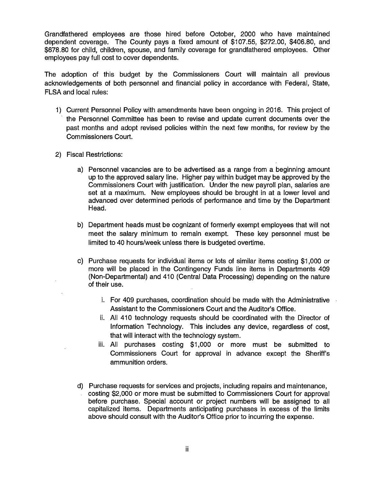Grandfathered employees are those hired before October, 2000 who have maintained dependent coverage. The County pays a fixed amount of \$107.55, \$272.00, \$406.80, and \$678.80 for child, children, spouse, and family coverage for grandfathered employees. Other employees pay full cost to cover dependents.

The adoption of this budget by the Commissioners Court will maintain all previous acknowledgements of both personnel and financial policy in accordance with Federal, State, FLSA and local rules:

- 1) Current Personnel Policy with amendments have been ongoing in 2016. This project of the Personnel Committee has been to revise and update current documents over the past months and adopt revised policies within the next few months, for review by the Commissioners Court.
- 2) Fiscal Restrictions:
	- a) Personnel vacancies are to be advertised as a range from a beginning amount up to the approved salary line. Higher pay within budget may be approved by the Commissioners Court with justification. Under the new payroll plan, salaries are set at a maximum. New employees should be brought in at a lower level and advanced over determined periods of performance and time by the Department Head.
	- b) Department heads must be cognizant of formerly exempt employees that will not meet the salary minimum to remain exempt. These key personnel must be limited to 40 hours/week unless there is budgeted overtime.
	- c) Purchase requests for individual items or lots of similar items costing \$1,000 or more will be placed in the Contingency Funds line items in Departments 409 (Non-Departmental) and 410 (Central Data Processing) depending on the nature of their use.
		- i. For 409 purchases, coordination should be made with the Administrative Assistant to the Commissioners Court and the Auditor's Office.
		- ii. All 410 technology requests should be coordinated with the Director of Information Technology. This includes any device, regardless of cost, that will interact with the technology system.
		- iii. All purchases costing \$1 ,000 or more must be submitted to Commissioners Court for approval in advance except the Sheriff's ammunition orders.
	- d) Purchase requests for services and projects, including repairs and maintenance, costing \$2,000 or more must be submitted to Commissioners Court for approval before purchase. Special account or project numbers will be assigned to all capitalized items. Departments anticipating purchases in excess of the limits above should consult with the Auditor's Office prior to incurring the expense.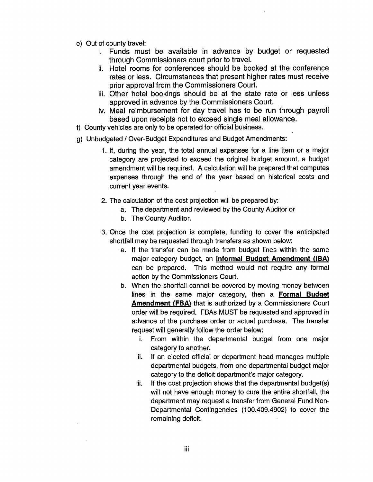- e) Out of county travel:
	- i. Funds must be available in advance by budget or requested through Commissioners court prior to travel.
	- ii. Hotel rooms for conferences should be booked at the conference rates or less. Circumstances that present higher rates must receive prior approval from the Commissioners Court.
	- iii. Other hotel bookings should be at the state rate or less unless approved in advance by the Commissioners Court.
	- iv. Meal reimbursement for day travel has to be run through payroll based upon receipts not to exceed single meal allowance.
- f) County vehicles are only to be operated for official business.
- g) Unbudgeted / Over-Budget Expenditures and Budget Amendments:
	- 1. If, during the year, the total annual expenses for a line item or a major category are projected to exceed the original budget amount, a budget amendment will be required. A calculation will be prepared that computes expenses through the end of the year based on historical costs and current year events.
	- 2. The calculation of the cost projection will be prepared by:
		- a. The department and reviewed by the County Auditor or
		- b. The County Auditor.
	- 3. Once the cost projection is complete, funding to cover the anticipated shortfall may be requested through transfers as shown below:
		- a. If the transfer can be made from budget lines within the same major category budget, an **Informal Budget Amendment (IBA)**  can be prepared. This method would not require any formal action by the Commissioners Court.
		- b. When the shortfall cannot be covered by moving money between lines in the same major category, then a **Formal Budget Amendment (FBA)** that is authorized by a Commissioners Court order will be required. FBAs MUST be requested and approved in advance of the purchase order or actual purchase. The transfer request will generally follow the order below:
			- i. From within the departmental budget from one major category to another.
			- ii. If an elected official or department head manages multiple departmental budgets, from one departmental budget major category to the deficit department's major category.
			- iii. If the cost projection shows that the departmental budget(s) will not have enough money to cure the entire shortfall, the department may request a transfer from General Fund Non-Departmental Contingencies (100.409.4902) to cover the remaining deficit.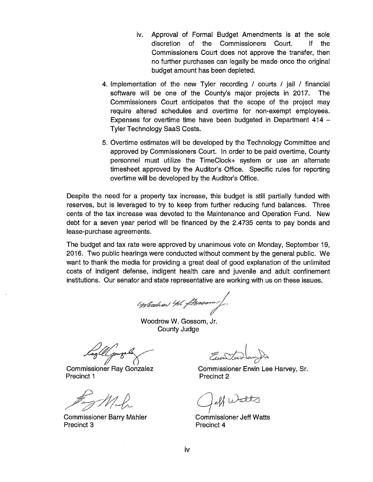- iv. Approval of Formal Budget Amendments is at the sole discretion of the Commissioners Court. If the Commissioners Court does not approve the transfer, then no further purchases can legally be made once the original budget amount has been depleted.
- 4. Implementation of the new Tyler recording / courts / jail / financial software will be one of the County's major projects in 2017. The Commissioners Court anticipates that the scope of the project may require altered schedules and overtime for non-exempt employees. Expenses for overtime time have been budgeted in Department 414 -Tyler Technology SaaS Costs.
- 5. Overtime estimates will be developed by the Technology Committee and approved by Commissioners Court. In order to be paid overtime, County personnel must utilize the TimeCiock+ system or use an alternate timesheet approved by the Auditor's Office. Specific rules for reporting overtime will be developed by the Auditor's Office.

Despite the need for a property tax increase, this budget is still partially funded with reserves, but is leveraged to try to keep from further reducing fund balances. Three cents of the tax increase was devoted to the Maintenance and Operation Fund. New debt for a seven year period will be financed by the 2.4735 cents to pay bonds and lease-purchase agreements.

The budget and tax rate were approved by unanimous vote on Monday, September 19, 2016. Two public hearings were conducted without comment by the general public. We want to thank the media for providing a great deal of good explanation of the unlimited costs of indigent defense, indigent health care and juvenile and adult confinement institutions. Our senator and state representative are working with us on these issues.

Woodwar W. Bossom

Woodrow W. Gossom, Jr. County Judge

Commissioner 4~ Ray Gonzalez

Precinct 1

Commissioner Barry Mahler Precinct 3

Commissioner Erwin Lee Harvey, Sr. Precinct 2

Och Watts

Commissioner Jeff Watts Precinct 4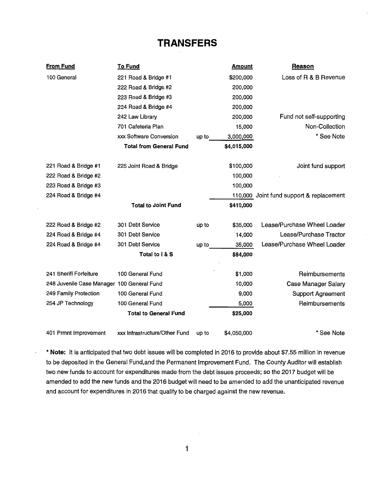## **TRANSFERS**

| <b>From Fund</b>                           | <b>To Fund</b>                 |       | <u>Amount</u> | <b>Reason</b>                            |
|--------------------------------------------|--------------------------------|-------|---------------|------------------------------------------|
| 100 General                                | 221 Road & Bridge #1           |       | \$200,000     | Loss of R & B Revenue                    |
|                                            | 222 Road & Bridge #2           |       | 200,000       |                                          |
|                                            | 223 Road & Bridge #3           |       | 200,000       |                                          |
|                                            | 224 Road & Bridge #4           |       | 200,000       |                                          |
|                                            | 242 Law Library                |       | 200,000       | Fund not self-supporting                 |
|                                            | 701 Cafeteria Plan             |       | 15,000        | Non-Collection                           |
|                                            | xxx Software Conversion        | up to | 3,000,000     | * See Note                               |
|                                            | <b>Total from General Fund</b> |       | \$4,015,000   |                                          |
| 221 Road & Bridge #1                       | 225 Joint Road & Bridge        |       | \$100,000     | Joint fund support                       |
| 222 Road & Bridge #2                       |                                |       | 100,000       |                                          |
| 223 Road & Bridge #3                       |                                |       | 100,000       |                                          |
| 224 Road & Bridge #4                       |                                |       |               | 110,000 Joint fund support & replacement |
|                                            | <b>Total to Joint Fund</b>     |       | \$410,000     |                                          |
| 222 Road & Bridge #2                       | 301 Debt Service               | up to | \$35,000      | Lease/Purchase Wheel Loader              |
| 224 Road & Bridge #4                       | 301 Debt Service               |       | 14,000        | Lease/Purchase Tractor                   |
| 224 Road & Bridge #4                       | 301 Debt Service               | up to | 35,000        | Lease/Purchase Wheel Loader              |
|                                            | Total to I & S                 |       | \$84,000      |                                          |
| 241 Sheriff Forfeiture                     | 100 General Fund               |       | \$1,000       | Reimbursements                           |
| 248 Juvenile Case Manager 100 General Fund |                                |       | 10,000        | <b>Case Manager Salary</b>               |
| 249 Family Protection                      | 100 General Fund               |       | 9,000         | <b>Support Agreement</b>                 |
| 254 JP Technology                          | 100 General Fund               |       | 5,000         | Reimbursements                           |
|                                            | <b>Total to General Fund</b>   |       | \$25,000      |                                          |
| 401 Prmnt Improvement                      | xxx Infrastructure/Other Fund  | up to | \$4,050,000   | * See Note                               |

\* **Note:** It is anticipated that two debt issues will be completed in 2016 to provide about \$7.55 million in revenue to be deposited in the General Fund,and the Permanent Improvement Fund. The County Auditor will establish two new funds to account for expenditures made from the debt issues proceeds; so the 2017 budget will be amended to add the new funds and the 2016 budget will need to be amended to add the unanticipated revenue and account for expenditures in 2016 that qualify to be charged against the new revenue.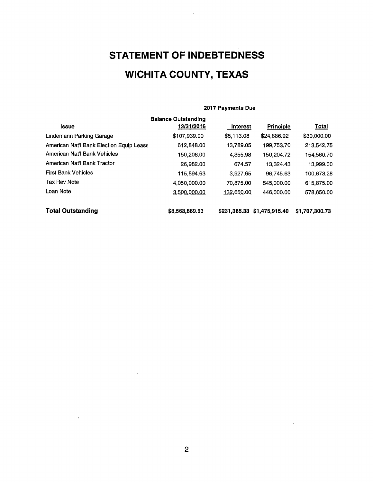# **STATEMENT OF INDEBTEDNESS WICHITA COUNTY, TEXAS**

#### 2017 Payments Due

|                                                 | <b>Balance Outstanding</b> |              |                  |                |
|-------------------------------------------------|----------------------------|--------------|------------------|----------------|
| Issue                                           | 12/31/2016                 | Interest     | <b>Principle</b> | <u>Total</u>   |
| Lindemann Parking Garage                        | \$107,939.00               | \$5,113.08   | \$24,886.92      | \$30,000.00    |
| <b>American Nat'l Bank Election Equip Lease</b> | 612,848.00                 | 13,789.05    | 199,753.70       | 213,542.75     |
| American Nat'l Bank Vehicles                    | 150,206.00                 | 4,355.98     | 150,204.72       | 154,560.70     |
| American Nat'l Bank Tractor                     | 26,982,00                  | 674.57       | 13,324.43        | 13,999.00      |
| <b>First Bank Vehicles</b>                      | 115,894.63                 | 3,927.65     | 96.745.63        | 100,673.28     |
| Tax Rev Note                                    | 4,050,000.00               | 70,875.00    | 545,000.00       | 615,875.00     |
| Loan Note                                       | 3.500,000.00               | 132,650.00   | 446,000.00       | 578,650.00     |
| <b>Total Outstanding</b>                        | \$8,563,869,63             | \$231.385.33 | \$1,475,915.40   | \$1,707,300.73 |

 $\sim$ 

 $\mathcal{L}$ 

 $\sim$ 

 $\sim$   $\sim$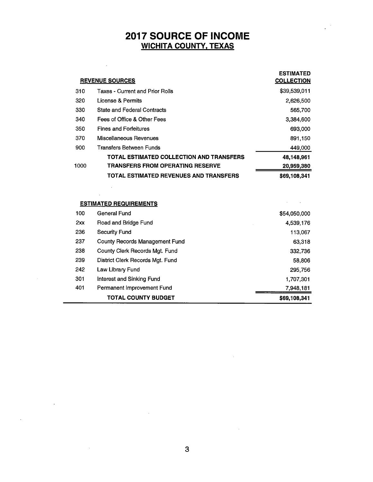### 2017 SOURCE OF INCOME WICHITA COUNTY, TEXAS

|      | <b>REVENUE SOURCES</b>                   | <b>ESTIMATED</b><br><b>COLLECTION</b> |
|------|------------------------------------------|---------------------------------------|
| 310  | Taxes - Current and Prior Rolls          | \$39,539,011                          |
| 320  | License & Permits                        | 2,626,500                             |
| 330  | <b>State and Federal Contracts</b>       | 565,700                               |
| 340  | Fees of Office & Other Fees              | 3,384,600                             |
| 350  | <b>Fines and Forfeitures</b>             | 693,000                               |
| 370  | Miscellaneous Revenues                   | 891.150                               |
| 900  | Transfers Between Funds                  | 449,000                               |
|      | TOTAL ESTIMATED COLLECTION AND TRANSFERS | 48,148,961                            |
| 1000 | <b>TRANSFERS FROM OPERATING RESERVE</b>  | 20,959,380                            |
|      | TOTAL ESTIMATED REVENUES AND TRANSFERS   | \$69,108,341                          |

### ESTIMATED REQUIREMENTS

 $\bar{.}$ 

 $\sim$ 

 $\ddot{\phantom{a}}$ 

|     | <b>TOTAL COUNTY BUDGET</b>            | \$69.108,341 |
|-----|---------------------------------------|--------------|
| 401 | Permanent Improvement Fund            | 7,948,181    |
| 301 | Interest and Sinking Fund             | 1,707,301    |
| 242 | Law Library Fund                      | 295,756      |
| 239 | District Clerk Records Mat. Fund      | 58,806       |
| 238 | County Clerk Records Mat. Fund        | 332,736      |
| 237 | <b>County Records Management Fund</b> | 63,318       |
| 236 | Security Fund                         | 113,067      |
| 2xx | Road and Bridge Fund                  | 4,539,176    |
| 100 | General Fund                          | \$54,050,000 |

 $\sim 10$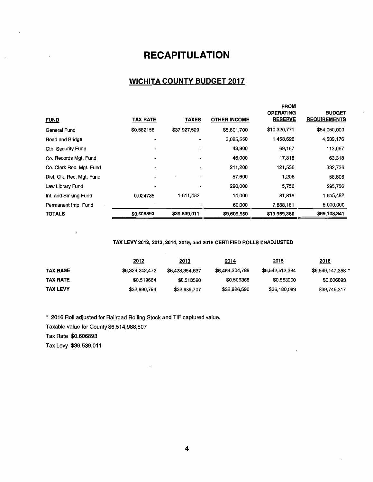## **RECAPITULATION**

### **WICHITA COUNTY BUDGET 2017**

| <b>TOTALS</b>             | \$0.606893      | \$39,539,011 | \$9,609,950         | \$19,959,380                                      | \$69,108,341                         |
|---------------------------|-----------------|--------------|---------------------|---------------------------------------------------|--------------------------------------|
| Permanent Imp. Fund       |                 |              | 60,000              | 7,888,181                                         | 8,000,000                            |
| Int. and Sinking Fund     | 0.024735        | 1,611,482    | 14,000              | 81,819                                            | 1,655,482                            |
| Law Library Fund          |                 |              | 290,000             | 5,756                                             | 295,756                              |
| Dist. Clk. Rec. Mgt. Fund |                 | ۰            | 57,600              | 1,206                                             | 58,806                               |
| Co. Clerk Rec. Mgt. Fund  |                 | ۰            | 211,200             | 121,536                                           | 332,736                              |
| Co. Records Mgt. Fund     |                 |              | 46,000              | 17,318                                            | 63,318                               |
| Cth. Security Fund        |                 |              | 43,900              | 69,167                                            | 113,067                              |
| Road and Bridge           |                 |              | 3,085,550           | 1,453,626                                         | 4,539,176                            |
| General Fund              | \$0.582158      | \$37,927,529 | \$5,801,700         | \$10,320,771                                      | \$54,050,000                         |
| <b>FUND</b>               | <b>TAX RATE</b> | <b>TAXES</b> | <b>OTHER INCOME</b> | <b>FROM</b><br><b>OPERATING</b><br><b>RESERVE</b> | <b>BUDGET</b><br><b>REQUIREMENTS</b> |

#### TAX LEVY 2012,2013, 2014, 2015, and 2016 CERTIFIED ROLLS UNADJUSTED

|                 | 2012            | <u> 2013</u>    | <u>2014</u>     | <u> 2015</u>    | 2016              |
|-----------------|-----------------|-----------------|-----------------|-----------------|-------------------|
| <b>TAX BASE</b> | \$6,329,242,472 | \$6,423,354,637 | \$6,464,204,788 | \$6,542,512,384 | \$6,549,147,358 * |
| <b>TAX RATE</b> | \$0.519664      | \$0.513590      | \$0,509368      | \$0.553000      | \$0.606893        |
| <b>TAX LEVY</b> | \$32,890,794    | \$32,989,707    | \$32,926,590    | \$36,180,093    | \$39,746,317      |

\* 2016 Roll adjusted for Railroad Rolling Stock and TIF captured value.

Taxable value for County \$6,514,988,807

Tax Rate \$0.606893

Tax Levy \$39,539,011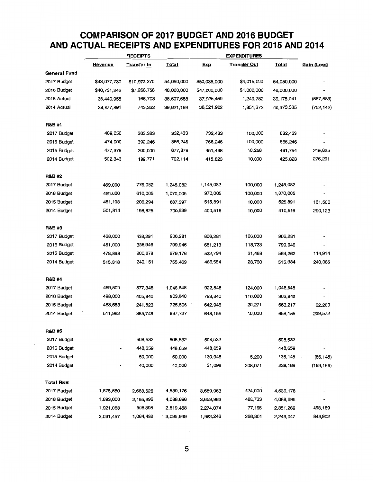### **COMPARISON OF 2017 BUDGET AND 2016 BUDGET AND ACTUAL RECEIPTS AND EXPENDITURES FOR 2015 AND 2014**

|                      | <b>RECEIPTS</b> |                    |              | <b>EXPENDITURES</b> |                     |              |             |
|----------------------|-----------------|--------------------|--------------|---------------------|---------------------|--------------|-------------|
|                      | <u>Revenue</u>  | <b>Transfer In</b> | <b>Total</b> | <b>Exp</b>          | <b>Transfer Out</b> | <b>Total</b> | Gain (Loss) |
| <b>General Fund</b>  |                 |                    |              |                     |                     |              |             |
| 2017 Budget          | \$43,077,730    | \$10,972,270       | 54,050,000   | \$50,035,000        | \$4,015,000         | 54,050,000   |             |
| 2016 Budget          | \$40,731,242    | \$7,268,758        | 48,000,000   | \$47,000,000        | \$1,000,000         | 48,000,000   |             |
| 2015 Actual          | 38,440,955      | 166,703            | 38,607,658   | 37,925,459          | 1,249,782           | 39,175,241   | (567, 583)  |
| 2014 Actual          | 38,877,861      | 743,332            | 39,621,193   | 38,521,962          | 1,851,373           | 40,373,335   | (752, 142)  |
| <b>R&amp;B #1</b>    |                 |                    |              |                     |                     |              |             |
| 2017 Budget          | 469,050         | 363,383            | 832,433      | 732,433             | 100,000             | 832,433      |             |
| 2016 Budget          | 474,000         | 392,246            | 866,246      | 766,246             | 100,000             | 866,246      |             |
| 2015 Budget          | 477,379         | 200,000            | 677,379      | 451,498             | 10,256              | 461,754      | 215,625     |
| 2014 Budget          | 502,343         | 199,771            | 702,114      | 415,823             | 10,000              | 425,823      | 276,291     |
| <b>R&amp;B #2</b>    |                 |                    |              |                     |                     |              |             |
| 2017 Budget          | 469,000         | 776,082            | 1,245,082    | 1,145,082           | 100,000             | 1,245,082    |             |
| 2016 Budget          | 460,000         | 610,005            | 1,070,005    | 970,005             | 100,000             | 1,070,005    |             |
| 2015 Budget          | 481,103         | 206,294            | 687,397      | 515,891             | 10,000              | 525,891      | 161,506     |
| 2014 Budget          | 501,814         | 198,825            | 700,639      | 400,516             | 10,000              | 410,516      | 290,123     |
| <b>R&amp;B#3</b>     |                 |                    |              |                     |                     |              |             |
| 2017 Budget          | 468,000         | 438,281            | 906,281      | 806,281             | 100,000             | 906,281      |             |
| 2016 Budget          | 461,000         | 338,946            | 799,946      | 681,213             | 118,733             | 799,946      |             |
| 2015 Budget          | 478,898         | 200,278            | 679,176      | 532,794             | 31,468              | 564,262      | 114,914     |
| 2014 Budget          | 515,318         | 240,151            | 755,469      | 486,654             | 28,730              | 515,384      | 240,085     |
| <b>R&amp;B #4</b>    |                 |                    |              |                     |                     |              |             |
| 2017 Budget          | 469,500         | 577,348            | 1,046,848    | 922,848             | 124,000             | 1,046,848    |             |
| 2016 Budget          | 498,000         | 405,840            | 903,840      | 793,840             | 110,000             | 903,840      |             |
| 2015 Budget          | 483,683         | 241,823            | 725,506      | 642,946             | 20,271              | 663,217      | 62,289      |
| 2014 Budget          | 511,982         | 385,745            | 897,727      | 648,155             | 10,000              | 658,155      | 239,572     |
| <b>R&amp;B #5</b>    |                 |                    |              |                     |                     |              |             |
| 2017 Budget          |                 | 508,532            | 508,532      | 508,532             |                     | 508,532      |             |
| 2016 Budget          |                 | 448,659            | 448,659      | 448,659             |                     | 448,659      |             |
| 2015 Budget          |                 | 50,000             | 50,000       | 130,945             | 5,200               | 136,145      | (86, 145)   |
| 2014 Budget          |                 | 40,000             | 40,000       | 31,098              | 208,071             | 239,169      | (199, 169)  |
| <b>Total R&amp;B</b> |                 |                    |              |                     |                     |              |             |
| 2017 Budget          | 1,875,550       | 2,663,626          | 4,539,176    | 3,659,963           | 424,000             | 4,539,176    |             |
| 2016 Budget          | 1,893,000       | 2,195,696          | 4,088,696    | 3,659,963           | 428,733             | 4,088,696    |             |
| 2015 Budget          | 1,921,063       | 898,395            | 2,819,458    | 2,274,074           | 77,195              | 2,351,269    | 468,189     |
| 2014 Budget          | 2,031,457       | 1,064,492          | 3,095,949    | 1,982,246           | 266,801             | 2,249,047    | 846,902     |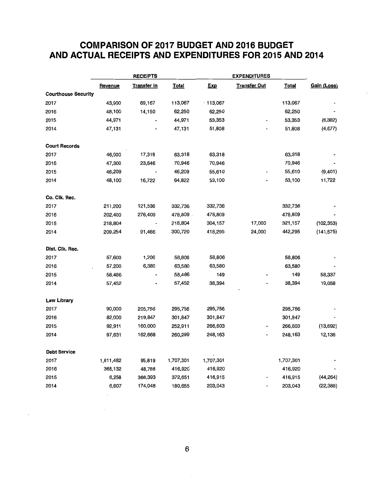### **COMPARISON OF 2017 BUDGET AND 2016 BUDGET AND ACTUAL RECEIPTS AND EXPENDITURES FOR 2015 AND 2014**

|                            |           | <b>RECEIPTS</b>    |              |            |                          | <b>EXPENDITURES</b> |             |  |  |
|----------------------------|-----------|--------------------|--------------|------------|--------------------------|---------------------|-------------|--|--|
|                            | Revenue   | <b>Transfer In</b> | <b>Total</b> | <b>Exp</b> | <b>Transfer Out</b>      | <b>Total</b>        | Gain (Loss) |  |  |
| <b>Courthouse Security</b> |           |                    |              |            |                          |                     |             |  |  |
| 2017                       | 43,900    | 69,167             | 113,067      | $-113,067$ |                          | 113,067             |             |  |  |
| 2016                       | 48,100    | 14,150             | 62,250       | 62,250     |                          | 62,250              |             |  |  |
| 2015                       | 44,971    |                    | 44,971       | 53,353     |                          | 53,353              | (8, 382)    |  |  |
| 2014                       | 47,131    |                    | 47,131       | 51,808     |                          | 51,808              | (4,677)     |  |  |
| <b>Court Records</b>       |           |                    |              |            |                          |                     |             |  |  |
| 2017                       | 46,000    | 17,318             | 63,318       | 63,318     |                          | 63,318              |             |  |  |
| 2016                       | 47,300    | 23,646             | 70,946       | 70,946     |                          | 70,946              |             |  |  |
| 2015                       | 46,209    |                    | 46,209       | 55,610     | $\overline{\phantom{a}}$ | 55,610              | (9, 401)    |  |  |
| 2014                       | 48,100    | 16,722             | 64,822       | 53,100     |                          | 53,100              | 11,722      |  |  |
| Co. Clk. Rec.              |           |                    |              |            |                          |                     |             |  |  |
| 2017                       | 211,200   | 121,536            | 332,736      | 332,736    |                          | 332,736             |             |  |  |
| 2016                       | 202,400   | 276,409            | 478,809.     | 478,809    |                          | 478,809             |             |  |  |
| 2015                       | 218,804   |                    | 218,804      | 304,157    | 17,000                   | 321,157             | (102, 353)  |  |  |
| 2014                       | 209,254   | 91,466             | 300,720      | 418,295    | 24,000                   | 442,295             | (141, 575)  |  |  |
| Dist. Clk. Rec.            |           |                    |              |            |                          |                     |             |  |  |
| 2017                       | 57,600    | 1,206              | 58,806       | 58,806     |                          | 58,806              |             |  |  |
| 2016                       | 57,200    | 6,380              | 63,580       | 63,580     |                          | 63,580              |             |  |  |
| 2015                       | 58,486    |                    | 58,486       | 149        |                          | 149                 | 58,337      |  |  |
| 2014                       | 57,452    |                    | 57,452       | 38,394     |                          | 38,394              | 19,058      |  |  |
| <b>Law Library</b>         |           |                    |              |            |                          |                     |             |  |  |
| 2017                       | 90,000    | 205,756            | 295,756      | 295,756    |                          | 295,756             |             |  |  |
| 2016                       | 82,000    | 219,847            | 301,847      | 301,847    |                          | 301,847             |             |  |  |
| 2015                       | 92,911    | 160,000            | 252,911      | 266,603    |                          | 266,603             | (13, 692)   |  |  |
| 2014                       | 97,631    | 162,668            | 260,299      | 248,163    |                          | 248,163             | 12,136      |  |  |
| <b>Debt Service</b>        |           |                    |              |            |                          |                     |             |  |  |
| 2017                       | 1,611,482 | 95,819             | 1,707,301    | 1,707,301  |                          | 1,707,301           |             |  |  |
| 2016                       | 368,132   | 48,788             | 416,920      | 416,920    |                          | 416,920             |             |  |  |
| 2015                       | 6,258     | 366,393            | 372,651      | 416,915    |                          | 416,915             | (44, 264)   |  |  |
| 2014                       | 6,607     | 174,048            | 180,655      | 203,043    |                          | 203,043             | (22, 388)   |  |  |

**6**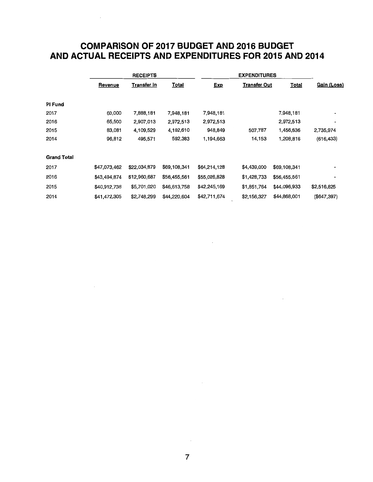### **COMPARISON OF 2017 BUDGET AND 2016 BUDGET AND ACTUAL RECEIPTS AND EXPENDITURES FOR 2015 AND 2014**

|                    |              | <b>RECEIPTS</b>    |              |              | <b>EXPENDITURES</b> |              |             |  |
|--------------------|--------------|--------------------|--------------|--------------|---------------------|--------------|-------------|--|
|                    | Revenue      | <u>Transfer In</u> | <b>Total</b> | <b>Exp</b>   | <u>Transfer Out</u> | <u>Total</u> | Gain (Loss) |  |
| PI Fund            |              |                    |              |              |                     |              |             |  |
| 2017               | 60,000       | 7,888,181          | 7,948,181    | 7,948,181    |                     | 7,948,181    |             |  |
| 2016               | 65,500       | 2,907,013          | 2,972,513    | 2,972,513    |                     | 2,972,513    |             |  |
| 2015               | 83,081       | 4,109,529          | 4,192,610    | 948,849      | 507,787             | 1,456,636    | 2,735,974   |  |
| 2014               | 96,812       | 495,571            | 592,383      | 1,194,663    | 14,153              | 1,208,816    | (616, 433)  |  |
| <b>Grand Total</b> |              |                    |              |              |                     |              |             |  |
| 2017               | \$47,073,462 | \$22,034,879       | \$69,108,341 | \$64,214,128 | \$4,439,000         | \$69,108,341 |             |  |
| 2016               | \$43,494,874 | \$12,960,687       | \$56,455,561 | \$55,026,828 | \$1,428,733         | \$56,455,561 |             |  |
| 2015               | \$40,912,738 | \$5,701,020        | \$46,613,758 | \$42,245,169 | \$1,851,764         | \$44,096,933 | \$2,516,825 |  |
| 2014               | \$41,472,305 | \$2,748,299        | \$44,220,604 | \$42,711,674 | \$2,156,327         | \$44,868,001 | (\$647,397) |  |

 $\sim$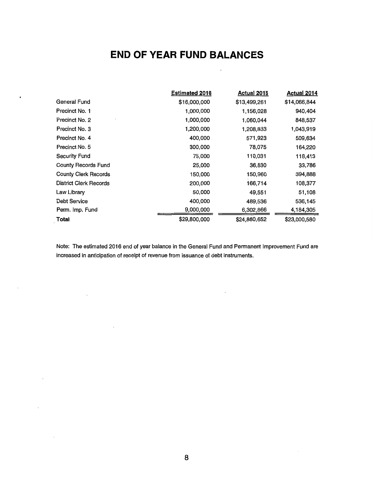## **END OF YEAR FUND BALANCES**

 $\overline{\phantom{a}}$ 

|                               | <b>Estimated 2016</b> | <b>Actual 2015</b> | <b>Actual 2014</b> |
|-------------------------------|-----------------------|--------------------|--------------------|
| General Fund                  | \$16,000,000          | \$13,499,261       | \$14,066,844       |
| Precinct No. 1                | 1,000,000             | 1,156,028          | 940,404            |
| Precinct No. 2                | 1,000,000             | 1,060,044          | 848,537            |
| Precinct No. 3                | 1,200,000             | 1,208,833          | 1,043,919          |
| Precinct No. 4                | 400,000               | 571,923            | 509,634            |
| Precinct No. 5                | 300,000               | 78,075             | 164,220            |
| Security Fund                 | 75,000                | 110,031            | 118,413            |
| <b>County Records Fund</b>    | 25,000                | 36,830             | 33,786             |
| <b>County Clerk Records</b>   | 150,000               | 150,960            | 394,888            |
| <b>District Clerk Records</b> | 200,000               | 166,714            | 108,377            |
| Law Library                   | 50,000                | 49,551             | 51,108             |
| Debt Service                  | 400,000               | 489,536            | 536,145            |
| Perm. Imp. Fund               | 9,000,000             | 6,302,866          | 4,184,305          |
| Total                         | \$29,800,000          | \$24,880,652       | \$23,000,580       |

Note: The estimated 2016 end of year balance in the General Fund and Permanent Improvement Fund are increased in anticipation of receipt of revenue from issuance of debt instruments.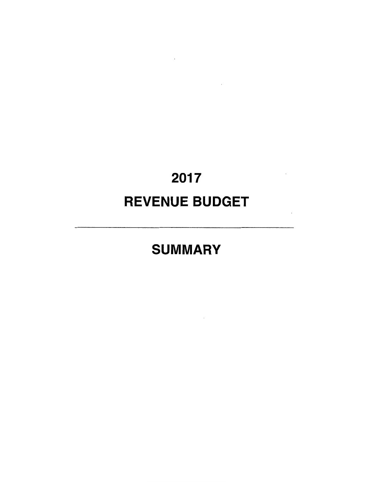# 2017 REVENUE BUDGET

 $\label{eq:2.1} \mathcal{L}(\mathcal{L}^{\text{max}}_{\mathcal{L}}(\mathcal{L}^{\text{max}}_{\mathcal{L}}(\mathcal{L}^{\text{max}}_{\mathcal{L}}(\mathcal{L}^{\text{max}}_{\mathcal{L}})))$ 

 $\mathcal{L}(\mathcal{L}^{\text{max}})$  and  $\mathcal{L}(\mathcal{L}^{\text{max}})$ 

 $\sim$ 

# SUMMARY

 $\mathcal{L}(\mathcal{L}^{\mathcal{L}})$  and  $\mathcal{L}(\mathcal{L}^{\mathcal{L}})$  and  $\mathcal{L}(\mathcal{L}^{\mathcal{L}})$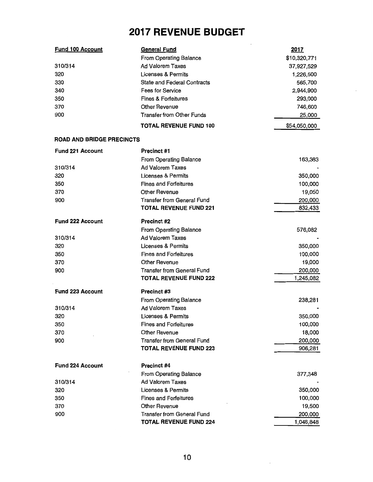## **2017 REVENUE BUDGET**

| <b>Fund 100 Account</b>          | <b>General Fund</b>                | 2017         |
|----------------------------------|------------------------------------|--------------|
|                                  | From Operating Balance             | \$10,320,771 |
| 310/314                          | <b>Ad Valorem Taxes</b>            | 37,927,529   |
| 320                              | <b>Licenses &amp; Permits</b>      | 1,226,500    |
| 330                              | <b>State and Federal Contracts</b> | 565,700      |
| 340                              | Fees for Service.                  | 2,944,900    |
| 350                              | <b>Fines &amp; Forfeitures</b>     | 293,000      |
| 370                              | <b>Other Revenue</b>               | 746,600      |
| 900                              | <b>Transfer from Other Funds</b>   | 25,000       |
|                                  | <b>TOTAL REVENUE FUND 100</b>      | \$54,050,000 |
| <b>ROAD AND BRIDGE PRECINCTS</b> |                                    |              |
| <b>Fund 221 Account</b>          | Precinct #1                        |              |
|                                  | From Operating Balance             | 163,383      |
| 310/314                          | <b>Ad Valorem Taxes</b>            |              |
| 320                              | Licenses & Permits                 | 350,000      |
| 350                              | <b>Fines and Forfeitures</b>       | 100,000      |
| 370                              | <b>Other Revenue</b>               | 19,050       |
| 900                              | <b>Transfer from General Fund</b>  | 200,000      |
|                                  | <b>TOTAL REVENUE FUND 221</b>      | 832,433      |
| Fund 222 Account                 | <b>Precinct #2</b>                 |              |
|                                  | From Operating Balance             | 576,082      |
| 310/314                          | <b>Ad Valorem Taxes</b>            |              |
| 320                              | Licenses & Permits                 | 350,000      |
| 350                              | <b>Fines and Forfeitures</b>       | 100,000      |
| 370                              | <b>Other Revenue</b>               | 19,000       |
| 900                              | <b>Transfer from General Fund</b>  | 200,000      |
|                                  | <b>TOTAL REVENUE FUND 222</b>      | 1,245,082    |
| <b>Fund 223 Account</b>          | Precinct #3                        |              |
|                                  | <b>From Operating Balance</b>      | 238,281      |
| 310/314                          | <b>Ad Valorem Taxes</b>            |              |
| 320                              | Licenses & Permits                 | 350,000      |
| 350                              | <b>Fines and Forfeitures</b>       | 100,000      |
| 370                              | Other Revenue                      | 18,000       |
| 900                              | Transfer from General Fund         | 200,000      |
|                                  | <b>TOTAL REVENUE FUND 223</b>      | 906,281      |
| <b>Fund 224 Account</b>          | Precinct #4                        |              |
|                                  | From Operating Balance             | 377,348      |
| 310/314                          | <b>Ad Valorem Taxes</b>            |              |
| 320                              | Licenses & Permits                 | 350,000      |
| 350                              | <b>Fines and Forfeitures</b>       | 100,000      |
| 370                              | Other Revenue                      | 19,500       |
| 900                              | <b>Transfer from General Fund</b>  | 200,000      |
|                                  | <b>TOTAL REVENUE FUND 224</b>      | 1,046,848    |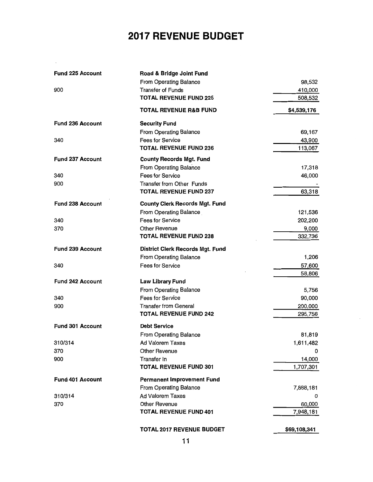# **2017 REVENUE BUDGET**

| <b>Fund 225 Account</b> | Road & Bridge Joint Fund<br>From Operating Balance | 98,532       |
|-------------------------|----------------------------------------------------|--------------|
| 900                     | <b>Transfer of Funds</b>                           | 410,000      |
|                         | <b>TOTAL REVENUE FUND 225</b>                      | 508,532      |
|                         | <b>TOTAL REVENUE R&amp;B FUND</b>                  | \$4,539,176  |
| <b>Fund 236 Account</b> | <b>Security Fund</b>                               |              |
|                         | From Operating Balance                             | 69,167       |
| 340                     | Fees for Service                                   | 43,900       |
|                         | <b>TOTAL REVENUE FUND 236</b>                      | 113,067      |
| <b>Fund 237 Account</b> | <b>County Records Mgt. Fund</b>                    |              |
|                         | From Operating Balance                             | 17,318       |
| 340                     | Fees for Service                                   | 46,000       |
| 900                     | <b>Transfer from Other Funds</b>                   |              |
|                         | <b>TOTAL REVENUE FUND 237</b>                      | 63,318       |
| <b>Fund 238 Account</b> | <b>County Clerk Records Mgt. Fund</b>              |              |
|                         | From Operating Balance                             | 121,536      |
| 340                     | <b>Fees for Service</b>                            | 202,200      |
| 370                     | Other Revenue                                      | 9,000        |
|                         | <b>TOTAL REVENUE FUND 238</b>                      | 332,736      |
| <b>Fund 239 Account</b> | District Clerk Records Mgt. Fund                   |              |
|                         | From Operating Balance                             | 1,206        |
| 340                     | Fees for Service                                   | 57,600       |
|                         |                                                    | 58,806       |
| <b>Fund 242 Account</b> | <b>Law Library Fund</b>                            |              |
|                         | From Operating Balance                             | 5,756        |
| 340                     | Fees for Service                                   | 90,000       |
| 900                     | <b>Transfer from General</b>                       | 200,000      |
|                         | <b>TOTAL REVENUE FUND 242</b>                      | 295,756      |
| Fund 301 Account        | <b>Debt Service</b>                                |              |
|                         | From Operating Balance                             | 81,819       |
| 310/314                 | Ad Valorem Taxes                                   | 1,611,482    |
| 370                     | <b>Other Revenue</b>                               | 0            |
| 900                     | Transfer In                                        | 14,000       |
|                         | <b>TOTAL REVENUE FUND 301</b>                      | 1,707,301    |
| Fund 401 Account        | <b>Permanent Improvement Fund</b>                  |              |
|                         | From Operating Balance                             | 7,888,181    |
| 310/314                 | <b>Ad Valorem Taxes</b>                            | 0            |
| 370                     | Other Revenue                                      | 60,000       |
|                         | <b>TOTAL REVENUE FUND 401</b>                      | 7,948,181    |
|                         | <b>TOTAL 2017 REVENUE BUDGET</b>                   | \$69,108,341 |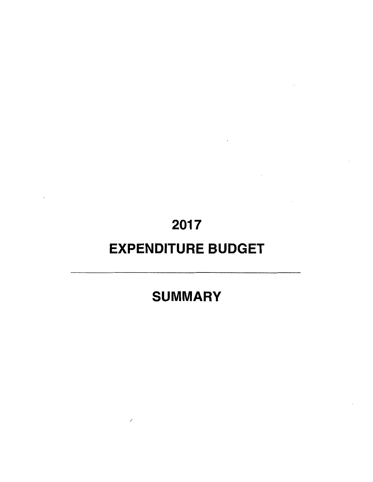# 2017

# EXPENDITURE BUDGET

# SUMMARY

/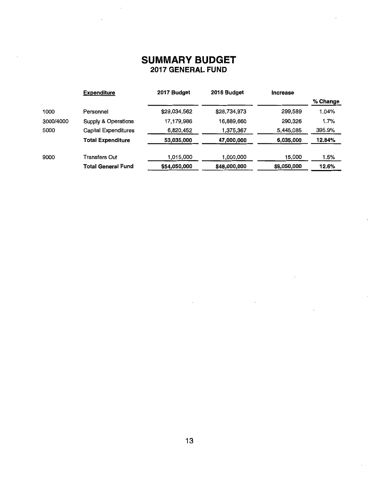|           | <b>Expenditure</b>             | 2017 Budget  | 2016 Budget  | <b>Increase</b> |          |
|-----------|--------------------------------|--------------|--------------|-----------------|----------|
|           |                                |              |              |                 | % Change |
| 1000      | Personnel                      | \$29,034,562 | \$28,734,973 | 299,589         | 1.04%    |
| 3000/4000 | <b>Supply &amp; Operations</b> | 17,179,986   | 16,889,660   | 290,326         | 1.7%     |
| 5000      | <b>Capital Expenditures</b>    | 6,820,452    | 1,375,367    | 5,445,085       | 395.9%   |
|           | <b>Total Expenditure</b>       | 53,035,000   | 47,000,000   | 6,035,000       | 12.84%   |
| 9000      | Transfers Out                  | 1,015,000    | 1,000,000    | 15,000          | 1.5%     |
|           | <b>Total General Fund</b>      | \$54,050,000 | \$48,000,000 | \$6,050,000     | 12.6%    |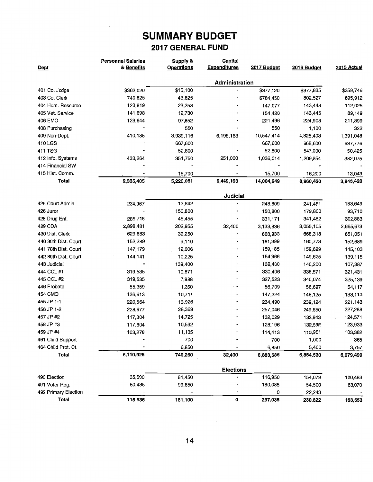|                      | <b>Personnel Salaries</b> | Supply &          | Capital             |             |             |             |  |
|----------------------|---------------------------|-------------------|---------------------|-------------|-------------|-------------|--|
| Dept                 | & Benefits                | <b>Operations</b> | <b>Expenditures</b> | 2017 Budget | 2016 Budget | 2015 Actual |  |
|                      |                           | Administration    |                     |             |             |             |  |
| 401 Co. Judge        | \$362,020                 | \$15,100          |                     | \$377,120   | \$377,835   | \$359,746   |  |
| 403 Co. Clerk        | 740,825                   | 43,625            |                     | \$784,450   | 802,527     | 695,912     |  |
| 404 Hum. Resource    | 123,819                   | 23,258            |                     | 147,077     | 143,448     | 112,025     |  |
| 405 Vet. Service     | 141,698                   | 12,730            |                     | 154,428     | 143,445     | 89,149      |  |
| 406 EMO              | 123,644                   | 97,852            |                     | 221,496     | 224,908     | 211,899     |  |
| 408 Purchasing       |                           | 550               |                     | 550         | 1,100       | 322         |  |
| 409 Non-Dept.        | 410,135                   | 3,939,116         | 6,198,163           | 10,547,414  | 4,825,403   | 1,391,048   |  |
| 410 LGS              |                           | 667,600           |                     | 667,600     | 668,600     | 637,776     |  |
| 411 TSG              |                           | 52,800            |                     | 52,800      | 547,000     | 50,425      |  |
| 412 Info. Systems    | 433,264                   | 351,750           | 251,000             | 1,036,014   | 1,209,954   | 382,075     |  |
| 414 Financial SW     |                           |                   |                     |             |             |             |  |
| 415 Hist. Comm.      |                           | 15,700            |                     | 15,700      | 16,200      | 13,043      |  |
| Total                | 2,335,405                 | 5,220,081         | 6,449,163           | 14,004,649  | 8,960,420   | 3,943,420   |  |
|                      |                           |                   | Judicial            |             |             |             |  |
| 425 Court Admin      | 234,967                   | 13,842            |                     | 248,809     | 241,481     | 183,649     |  |
| 426 Juror            |                           | 150,800           |                     | 150,800     | 179,800     | 93,710      |  |
| 428 Drug Enf.        | 285,716                   | 45,455            |                     | 331,171     | 341,482     | 302,883     |  |
| 429 CDA              | 2,898,481                 | 202,955           | 32,400              | 3,133,836   | 3,055,105   | 2,665,673   |  |
| 430 Dist. Clerk      | 629,683                   | 39,250            |                     | 668,933     | 668,318     | 651,051     |  |
| 440 30th Dist. Court | 152,289                   | 9,110             |                     | 161,399     | 160,773     | 152,689     |  |
| 441 78th Dist. Court | 147,179                   | 12,006            |                     | 159,185     | 159,629     | 145,103     |  |
| 442 89th Dist. Court | 144,141                   | 10,225            |                     | 154,366     | 149,625     | 139,115     |  |
| 443 Judicial         |                           | 139,400           |                     | 139,400     | 140,200     | 107,387     |  |
| 444 CCL #1           | 319,535                   | 10,871            |                     | 330,406     | 338,571     | 321,431     |  |
| 445 CCL #2           | 319,535                   | 7,988             |                     | 327,523     | 340,074     | 325,139     |  |
| 446 Probate          | 55,359                    | 1,350             |                     | 56,709      | 56,697      | 54,117      |  |
| 454 CMO              | 136,613                   | 10,711            |                     | 147,324     | 148,125     | 133,113     |  |
| 455 JP 1-1           | 220,564                   | 13,926            |                     | 234,490     | 239,124     | 221,143     |  |
| 456 JP 1-2           | 228,677                   | 28,369            |                     | 257,046     | 249,650     | 227,288     |  |
| 457 JP #2            | 117,304                   | 14,725            |                     | 132,029     | 132,943     | 124,571     |  |
| 458 JP #3            | 117,604                   | 10,592            |                     | 128,196     | 132,582     | 123,933     |  |
| 459 JP #4            | 103,278                   | 11,135            |                     | 114,413     | 113,951     | 103,382     |  |
| 461 Child Support    |                           | 700               |                     | 700         | 1,000       | 365         |  |
| 464 Child Prot. Ct.  |                           | 6,850             |                     | 6,850       | 5,400       | 3,757       |  |
| <b>Total</b>         | 6,110,925                 | 740,260           | 32,400              | 6,883,585   | 6,854,530   | 6,079,499   |  |
|                      |                           |                   | <b>Elections</b>    |             |             |             |  |
| 490 Election         | 35,500                    | 81,450            |                     | 116,950     | 154,079     | 100,483     |  |
| 491 Voter Reg.       | 80,435                    | 99,650            |                     | 180,085     | 54,500      | 63,070      |  |
| 492 Primary Election |                           |                   |                     | 0           | 22,243      |             |  |
| Total                | 115,935                   | 181,100           | 0                   | 297,035     | 230,822     | 163,553     |  |

 $\bar{\beta}$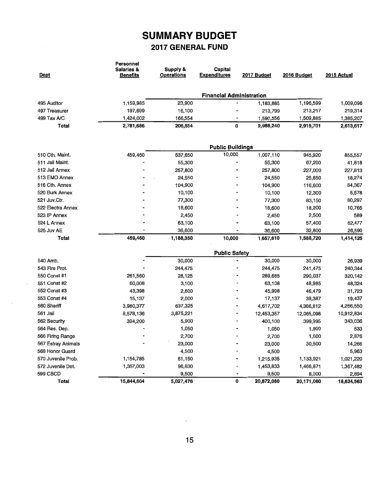$\sim$ 

| Dept               | Personnel<br>Salaries &<br><b>Benefits</b> | Supply &<br>Operations | Capital<br><b>Expenditures</b>  | 2017 Budget | 2016 Budget | 2015 Actual |
|--------------------|--------------------------------------------|------------------------|---------------------------------|-------------|-------------|-------------|
|                    |                                            |                        | <b>Financial Administration</b> |             |             |             |
| 495 Auditor        | 1,159,985                                  | 23,900                 |                                 | 1,183,885   | 1,196,599   | 1,009,096   |
| 497 Treasurer      | 197,699                                    | 16,100                 |                                 | 213,799     | 213,217     | 219,314     |
| 499 Tax A/C        | 1,424,002                                  | 166,554                |                                 | 1,590,556   | 1,509,885   | 1,385,207   |
| Total              | 2,781,686                                  | 206,554                | 0                               | 2,988,240   | 2,919,701   | 2,613,617   |
|                    |                                            |                        |                                 |             |             |             |
|                    |                                            |                        | <b>Public Buildings</b>         |             |             |             |
| 510 Cth. Maint.    | 459,460                                    | 537,650                | 10,000                          | 1,007,110   | 945,920     | 855,557     |
| 511 Jail Maint.    |                                            | 55,300                 |                                 | 55,300      | 67,200      | 41,818      |
| 512 Jail Annex     |                                            | 257,800                |                                 | 257,800     | 227,000     | 227,813     |
| 513 EMO Annex      |                                            | 24,550                 |                                 | 24,550      | 25,650      | 18,274      |
| 516 Cth. Annex     |                                            | 104,900                |                                 | 104,900     | 116,600     | 84,367      |
| 520 Burk Annex     |                                            | 10,100                 |                                 | 10,100      | 12,300      | 5,578       |
| 521 Juv.Ctr.       |                                            | 77,300                 |                                 | 77,300      | 83,150      | 80,297      |
| 522 Electra Annex  |                                            | 18,600                 |                                 | 18,600      | 18,200      | 10,765      |
| 523 IP Annex       |                                            | 2,450                  |                                 | 2,450       | 2,500       | 589         |
| 524 L Annex        |                                            | 63,100                 |                                 | 63,100      | 57,400      | 62,477      |
| 525 Juv AE         |                                            | 36,600                 |                                 | 36,600      | 32,800      | 26,590      |
| Total              | 459,460                                    | 1,188,350              | 10,000                          | 1,657,810   | 1,588,720   | 1,414,125   |
|                    |                                            |                        | <b>Public Safety</b>            |             |             |             |
| 540 Amb.           |                                            | 30,000                 |                                 | 30,000      | 30,000      | 26,939      |
| 543 Fire Prot.     |                                            | 244,475                |                                 | 244,475     | 241,475     | 240,344     |
| 550 Const #1       | 261,560                                    | 28,125                 |                                 | 289,685     | 290,037     | 320,142     |
| 551 Const #2       | 60,008                                     | 3,100                  |                                 | 63,108      | 48,985      | 48,324      |
| 552 Const #3       | 43,398                                     | 2,600                  |                                 | 45,998      | 46,479      | 31,723      |
| 553 Const #4       | 15,137                                     | 2,000                  |                                 | 17,137      | 39,387      | 19,437      |
| 560 Sheriff        | 3,980,377                                  | 637,325                |                                 | 4,617,702   | 4,366,812   | 4,266,550   |
| 561 Jail           | 8,578,136                                  | 3,875,221              |                                 | 12,453,357  | 12,065,098  | 10,912,834  |
| 562 Security       | 394,200                                    | 5,900                  |                                 | 400,100     | 399,995     | 343,036     |
| 564 Res. Dep.      |                                            | 1,050                  |                                 | 1,050       | 1,900       | 533         |
| 566 Firing Range   |                                            | 2,700                  |                                 | 2,700       | 1,600       | 2,876       |
| 567 Estray Animals |                                            | 23,000                 |                                 | 23,000      | 30,500      | 14,266      |
| 568 Honor Guard    |                                            | 4,500                  |                                 | 4,500       |             | 5,963       |
| 570 Juvenile Prob. | 1,154,785                                  | 61,150                 |                                 | 1,215,935   | 1,133,921   | 1,021,220   |
| 572 Juvenile Det.  | 1,357,003                                  | 96,830                 |                                 | 1,453,833   | 1,466,871   | 1,367,482   |
| 599 CSCD           |                                            | 9,500                  | -                               | 9,500       | 8,000       | 2,894       |
| <b>Total</b>       | 15,844,604                                 | 5,027,476              | 0                               | 20,872,080  | 20,171,060  | 18,624,563  |

 $\mathcal{S}^{(n)}$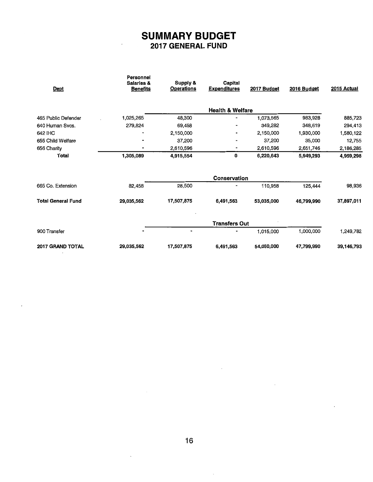| Dept                      | <b>Personnel</b><br>Salaries &<br><b>Benefits</b> | Supply &<br><b>Operations</b> | Capital<br><b>Expenditures</b> | 2017 Budget | 2016 Budget | 2015 Actual |
|---------------------------|---------------------------------------------------|-------------------------------|--------------------------------|-------------|-------------|-------------|
|                           |                                                   |                               | <b>Health &amp; Welfare</b>    |             |             |             |
| 465 Public Defender       | 1,025,265                                         | 48,300                        |                                | 1,073,565   | 983,928     | 885,723     |
| 640 Human Svcs.           | 279,824                                           | 69,458                        |                                | 349,282     | 348,619     | 294,413     |
| 642 IHC                   | ٠                                                 | 2,150,000                     |                                | 2,150,000   | 1,930,000   | 1,580,122   |
| 655 Child Welfare         | $\blacksquare$                                    | 37,200                        |                                | 37,200      | 35,000      | 12,755      |
| 656 Charity               |                                                   | 2,610,596                     |                                | 2,610,596   | 2,651,746   | 2,186,285   |
| Total                     | 1,305,089                                         | 4,915,554                     | 0                              | 6,220,643   | 5,949,293   | 4,959,298   |
|                           |                                                   |                               | Conservation                   |             |             |             |
| 665 Co. Extension         | 82,458                                            | 28,500                        |                                | 110,958     | 125,444     | 98,936      |
| <b>Total General Fund</b> | 29,035,562                                        | 17,507,875                    | 6,491,563                      | 53,035,000  | 46,799,990  | 37,897,011  |
|                           |                                                   |                               | <b>Transfers Out</b>           |             |             |             |
| 900 Transfer              |                                                   | $\blacksquare$                |                                | 1,015,000   | 1,000,000   | 1,249,782   |
| 2017 GRAND TOTAL          | 29,035,562                                        | 17,507,875                    | 6,491,563                      | 54,050,000  | 47,799,990  | 39,146,793  |

 $\mathcal{A}$ 

 $\ddot{\phantom{a}}$ 

 $\ddot{\phantom{0}}$ 

 $\bar{\phantom{a}}$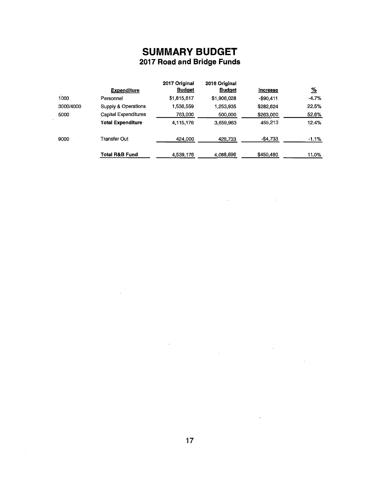### **SUMMARY BUDGET 2017 Road and Bridge Funds**

|           | <b>Expenditure</b>          | 2017 Original<br><b>Budget</b> | 2016 Original<br><b>Budget</b> | Increase   | <u>%</u> |
|-----------|-----------------------------|--------------------------------|--------------------------------|------------|----------|
| 1000      | Personnel                   | \$1,815,617                    | \$1,906,028                    | $-$90,411$ | $-4.7%$  |
| 3000/4000 | Supply & Operations         | 1.536.559                      | 1,253,935                      | \$282,624  | 22.5%    |
| 5000      | <b>Capital Expenditures</b> | 763,000                        | 500,000                        | \$263,000  | 52.6%    |
|           | <b>Total Expenditure</b>    | 4,115,176                      | 3,659,963                      | 455,213    | 12.4%    |
| 9000      | Transfer Out                | 424,000                        | 428,733                        | -\$4,733   | $-1.1\%$ |
|           | <b>Total R&amp;B Fund</b>   | 4,539,176                      | 4,088,696                      | \$450,480  | 11.0%    |

**Contract Contract State** 

 $\mathcal{A}^{\text{max}}_{\text{max}}$ 

 $\bar{z}$ 

 $\mathcal{L}$ 

 $\sim$   $\sim$ 

 $\sim$ 

 $\ddot{\phantom{a}}$ 

 $\overline{\phantom{a}}$ 

 $\sim$   $\sim$ 

 $\ddot{\phantom{a}}$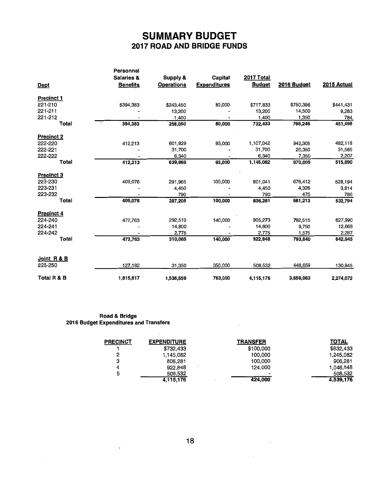### SUMMARY BUDGET 2017 ROAD AND BRIDGE FUNDS

|                   | <b>Personnel</b><br><b>Salaries &amp;</b> | Supply &          | Capital             | 2017 Total    |             |             |
|-------------------|-------------------------------------------|-------------------|---------------------|---------------|-------------|-------------|
| <b>Dept</b>       | <b>Benefits</b>                           | <b>Operations</b> | <b>Expenditures</b> | <b>Budget</b> | 2016 Budget | 2015 Actual |
| <b>Precinct 1</b> |                                           |                   |                     |               |             |             |
| 221-210           | \$394,383                                 | \$243,450         | 80,000              | \$717,833     | \$750,396   | \$441,431   |
| 221-211           |                                           | 13,200            |                     | 13,200        | 14,500      | 9,283       |
| 221-212           |                                           | 1,400             |                     | 1,400         | 1,350       | 784         |
| Total             | 394,383                                   | 258,050           | 80,000              | 732,433       | 766,246     | 451,498     |
| Precinct 2        |                                           |                   |                     |               |             |             |
| 222-220           | 412,213                                   | 601,829           | 93,000              | 1,107,042     | 942,305     | 482,118     |
| 222-221           |                                           | 31,700            |                     | 31,700        | 20,350      | 31,565      |
| 222-222           |                                           | 6,340             |                     | 6,340         | 7,350       | 2,207       |
| <b>Total</b>      | 412,213                                   | 639,869           | 93,000              | 1,145,082     | 970,005     | 515,890     |
| <b>Precinct 3</b> |                                           |                   |                     |               |             |             |
| 223-230           | 409,076                                   | 291,965           | 100,000             | 801,041       | 676,412     | 528,194     |
| 223-231           |                                           | 4,450             |                     | 4,450         | 4,326       | 3,814       |
| 223-232           |                                           | 790               |                     | 790           | 475         | 786         |
| Total             | 409,076                                   | 297,205           | 100,000             | 806,281       | 681,213     | 532,794     |
| <b>Precinct 4</b> |                                           |                   |                     |               |             |             |
| 224-240           | 472,763                                   | 292,510           | 140,000             | 905,273       | 782,515     | 627,990     |
| 224-241           |                                           | 14,800            |                     | 14,800        | 9,750       | 12,668      |
| 224-242           |                                           | 2,775             |                     | 2,775         | 1,575       | 2,287       |
| Total             | 472,763                                   | 310,085           | 140,000             | 922,848       | 793,840     | 642,945     |
|                   |                                           |                   |                     |               |             |             |
| Joint R & B       |                                           |                   |                     |               |             |             |
| 225-250           | 127,182                                   | 31,350            | 350,000             | 508,532       | 448,659     | 130,945     |
| Total R & B       | 1,815,617                                 | 1,536,559         | 763,000             | 4,115,176     | 3,659,963   | 2,274,072   |

#### Road & Bridge 2016 Budget Expenditures and Transfers

 $\cdot$ 

 $\mathcal{L}$ 

| <b>PRECINCT</b> | <b>EXPENDITURE</b> | TRANSFER  | <b>TOTAL</b> |
|-----------------|--------------------|-----------|--------------|
|                 | \$732,433          | \$100,000 | \$832,433    |
| 2               | 1,145,082          | 100,000   | 1,245,082    |
| з               | 806,281            | 100,000   | 906,281      |
|                 | 922.848            | 124.000   | 1,046,848    |
| 5               | 508,532            |           | 508.532      |
|                 | 4,115,176          | 424,000   | 4.539.176    |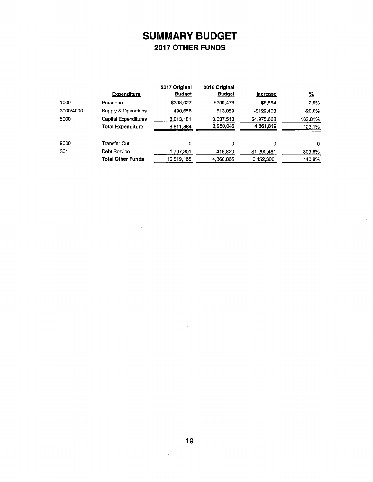## **SUMMARY BUDGET 2017 OTHER FUNDS**

|           | <b>Expenditure</b>       | 2017 Original<br><b>Budget</b> | 2016 Original<br><b>Budget</b> | <b>Increase</b> | <u>%</u> |
|-----------|--------------------------|--------------------------------|--------------------------------|-----------------|----------|
| 1000      | Personnel                | \$308,027                      | \$299,473                      | \$8,554         | 2.9%     |
| 3000/4000 | Supply & Operations      | 490.656                        | 613.059                        | $-$122,403$     | $-20.0%$ |
| 5000      | Capital Expenditures     | 8,013,181                      | 3,037,513                      | \$4,975,668     | 163.81%  |
|           | Total Expenditure        | 8.811.864                      | 3,950,045                      | 4,861,819       | 123.1%   |
| 9000      | Transfer Out             | 0                              | 0                              | 0               | 0        |
| 301       | Debt Service             | 1,707,301                      | 416,820                        | \$1,290,481     | 309.6%   |
|           | <b>Total Other Funds</b> | 10,519,165                     | 4,366,865                      | 6,152,300       | 140.9%   |
|           |                          |                                |                                |                 |          |

 $\overline{\phantom{a}}$ 

 $\Delta$ 

 $\ddot{\phantom{0}}$ 

 $\bar{\mathbf{v}}$ 

 $\bar{\lambda}$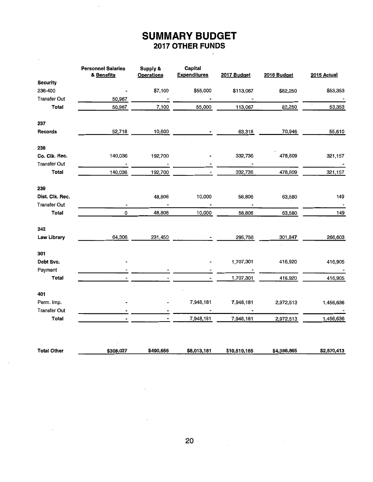### **SUMMARY BUDGET 2017 OTHER FUNDS**

 $\bar{\mathcal{L}}$ 

 $\epsilon$ 

 $\bar{z}$ 

|                         | <b>Personnel Salaries</b><br>& Benefits | Supply &<br><b>Operations</b> | Capital<br><b>Expenditures</b> | 2017 Budget              | 2016 Budget | 2015 Actual |
|-------------------------|-----------------------------------------|-------------------------------|--------------------------------|--------------------------|-------------|-------------|
| <b>Security</b>         |                                         |                               |                                |                          |             |             |
| 236-400                 |                                         | \$7,100                       | \$55,000                       | \$113,067                | \$82,250    | \$53,353    |
| <b>Transfer Out</b>     | 50,967                                  |                               |                                |                          |             |             |
| <b>Total</b>            | 50,967                                  | 7,100                         | 55,000                         | 113,067                  | 82,250      | 53,353      |
| 237                     |                                         |                               |                                |                          |             |             |
| <b>Records</b>          | 52,718                                  | 10,600                        |                                | 63,318                   | 70,946      | 55,610      |
| 238                     |                                         |                               |                                |                          |             |             |
| Co. Clk. Rec.           | 140,036                                 | 192,700                       |                                | 332,736                  | 478,809     | 321,157     |
| <b>Transfer Out</b>     |                                         |                               |                                | $\overline{\phantom{a}}$ |             |             |
| <b>Total</b>            | 140,036                                 | 192,700                       |                                | 332,736                  | 478,809     | 321,157     |
| 239                     |                                         |                               |                                |                          |             |             |
| Dist. Clk. Rec.         |                                         | 48,806                        | 10,000                         | 58,806                   | 63,580      | 149         |
| <b>Transfer Out</b>     | $\blacksquare$                          | $\sim$                        | $\blacksquare$                 | $\sim 100$ km s $^{-1}$  |             |             |
| Total                   | $\mathsf{o}\,$                          | 48,806                        | 10,000                         | 58,806                   | 63,580      | 149         |
| 242                     |                                         |                               |                                |                          |             |             |
| Law Library             | 64,306                                  | 231,450                       |                                | 295,756                  | 301,847     | 266,603     |
| 301                     |                                         |                               |                                |                          |             |             |
| Debt Svc.               |                                         |                               |                                | 1,707,301                | 416,920     | 416,905     |
| Payment<br><b>Total</b> |                                         |                               |                                | 1,707,301                | 416,920     | 416,905     |
| 401                     |                                         |                               |                                |                          |             |             |
| Perm. Imp.              |                                         |                               | 7,948,181                      | 7,948,181                | 2,972,513   | 1,456,636   |
| <b>Transfer Out</b>     |                                         |                               |                                |                          |             |             |
| <b>Total</b>            |                                         |                               | 7,948,181                      | 7,948,181                | 2,972,513   | 1,456,636   |
|                         |                                         |                               |                                |                          |             |             |
| <b>Total Other</b>      | \$308,027                               | \$490,656                     | \$8,013,181                    | \$10,519,165             | \$4,386,865 | \$2,570,413 |

 $\bar{z}$ 

 $\overline{\phantom{a}}$ 

 $\alpha$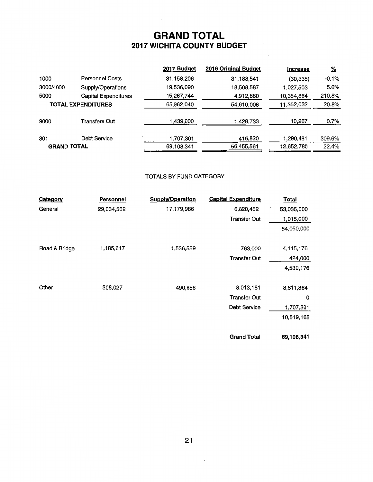### **GRAND TOTAL 2017 WICHITA COUNTY BUDGET**

 $\sim$ 

 $\sim 100$ 

|                           |                             | 2017 Budget | 2016 Original Budget | <b>Increase</b> | <u>%</u> |
|---------------------------|-----------------------------|-------------|----------------------|-----------------|----------|
| 1000                      | <b>Personnel Costs</b>      | 31,158,206  | 31,188,541           | (30, 335)       | $-0.1%$  |
| 3000/4000                 | Supply/Operations           | 19,536,090  | 18,508,587           | 1,027,503       | 5.6%     |
| 5000                      | <b>Capital Expenditures</b> | 15,267,744  | 4,912,880            | 10,354,864      | 210.8%   |
| <b>TOTAL EXPENDITURES</b> |                             | 65,962,040  | 54,610,008           | 11,352,032      | 20.8%    |
| 9000                      | Transfers Out               | 1,439,000   | 1,428,733            | 10,267          | 0.7%     |
| 301                       | <b>Debt Service</b>         | 1,707,301   | 416,820              | 1,290,481       | 309.6%   |
| <b>GRAND TOTAL</b>        |                             | 69,108,341  | 56,455,561           | 12,652,780      | 22.4%    |
|                           |                             |             |                      |                 |          |

#### TOTALS BY FUND CATEGORY

 $\bar{z}$ 

| Category      | <b>Personnel</b> | <b>Supply/Operation</b> | <b>Capital Expenditure</b> | <b>Total</b> |
|---------------|------------------|-------------------------|----------------------------|--------------|
| General       | 29,034,562       | 17,179,986              | 6,820,452                  | 53,035,000   |
|               |                  |                         | <b>Transfer Out</b>        | 1,015,000    |
|               |                  |                         |                            | 54,050,000   |
|               |                  |                         |                            |              |
| Road & Bridge | 1,185,617        | 1,536,559               | 763,000                    | 4,115,176    |
|               |                  |                         | <b>Transfer Out</b>        | 424,000      |
|               |                  |                         |                            | 4,539,176    |
|               |                  |                         |                            |              |
| Other         | 308,027          | 490,656                 | 8,013,181                  | 8,811,864    |
|               |                  |                         | <b>Transfer Out</b>        | 0            |
|               |                  |                         | <b>Debt Service</b>        | 1,707,301    |
|               |                  |                         |                            | 10,519,165   |
|               |                  |                         | <b>Grand Total</b>         | 69,108,341   |

 $\cdot$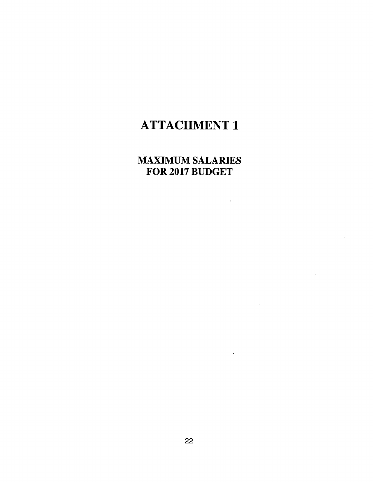# ATTACHMENT 1

## MAXIMUM SALARIES FOR 2017 BUDGET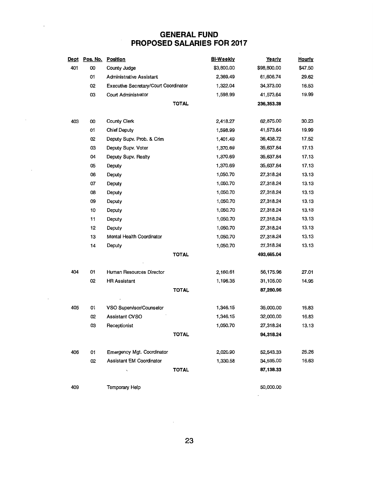### **GENERAL FUND PROPOSED SALARIES FOR 2017**

| Dept | Pos. No. | <b>Position</b>                              |              | <b>Bi-Weekly</b> | Yearly      | <b>Hourly</b> |
|------|----------|----------------------------------------------|--------------|------------------|-------------|---------------|
| 401  | OO       | County Judge                                 |              | \$3,800.00       | \$98,800.00 | \$47.50       |
|      | 01       | <b>Administrative Assistant</b>              |              | 2,369.49         | 61,606.74   | 29.62         |
|      | 02       | <b>Executive Secretary/Court Coordinator</b> |              | 1,322.04         | 34,373.00   | 16.53         |
|      | 03       | Court Administrator                          |              | 1,598.99         | 41,573.64   | 19.99         |
|      |          |                                              | <b>TOTAL</b> |                  | 236,353.38  |               |
|      |          |                                              |              |                  |             |               |
| 403  | 00       | County Clerk                                 |              | 2,418.27         | 62,875.00   | 30.23         |
|      | 01       | Chief Deputy                                 |              | 1,598.99         | 41,573.64   | 19.99         |
|      | 02       | Deputy Supv. Prob. & Crim                    |              | 1,401.49         | 36,438.72   | 17.52         |
|      | 03       | Deputy Supv. Voter                           |              | 1,370.69         | 35,637.84   | 17.13         |
|      | 04       | Deputy Supv. Realty                          |              | 1,370.69         | 35,637.84   | 17.13         |
|      | 05       | Deputy                                       |              | 1,370.69         | 35,637.84   | 17.13         |
|      | 06       | Deputy                                       |              | 1,050.70         | 27,318.24   | 13.13         |
|      | 07       | Deputy                                       |              | 1,050.70         | 27,318.24   | 13.13         |
|      | 08       | Deputy                                       |              | 1,050.70         | 27,318.24   | 13.13         |
|      | 09       | Deputy                                       |              | 1,050.70         | 27,318.24   | 13.13         |
|      | 10       | Deputy                                       |              | 1,050.70         | 27,318.24   | 13.13         |
|      | 11       | Deputy                                       |              | 1,050.70         | 27,318.24   | 13.13         |
|      | 12       | Deputy                                       |              | 1,050.70         | 27,318.24   | 13.13         |
|      | 13       | Mental Health Coordinator                    |              | 1,050.70         | 27,318.24   | 13.13         |
|      | 14       | Deputy                                       |              | 1,050.70         | 27,318.24   | 13.13         |
|      |          |                                              | <b>TOTAL</b> |                  | 493,665.04  |               |
|      |          |                                              |              |                  |             |               |
| 404  | 01       | Human Resources Director                     |              | 2,160.61         | 56,175.96   | 27.01         |
|      | 02       | <b>HR Assistant</b>                          |              | 1,196.35         | 31,105.00   | 14.95         |
|      |          |                                              | <b>TOTAL</b> |                  | 87,280.96   |               |
| 405  | 01       | VSO Supervisor/Counselor                     |              | 1,346.15         | 35,000.00   | 16.83         |
|      | 02       | Assistant CVSO                               |              | 1,346.15         | 32,000.00   | 16.83         |
|      | ОЗ       | Receptionist                                 |              | 1,050.70         | 27,318.24   | 13.13         |
|      |          |                                              | <b>TOTAL</b> |                  | 94,318.24   |               |
|      |          |                                              |              |                  |             |               |
| 406  | 01       | Emergency Mgt. Coordinator                   |              | 2,020.90         | 52,543.33   | 25.26         |
|      | 02       | Assistant EM Coordinator                     |              | 1,330.58         | 34,595.00   | 16.63         |
|      |          |                                              | <b>TOTAL</b> |                  | 87,138.33   |               |
| 409  |          | Temporary Help                               |              |                  | 50,000.00   |               |

 $\overline{\phantom{a}}$ 

 $\overline{a}$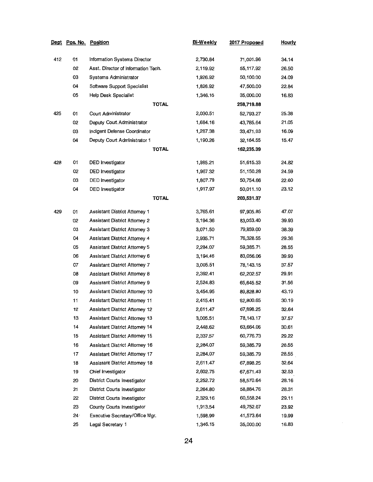| <u>Dept</u> | Pos. No. | <u>Position</u>                       | Bi-Weekly | 2017 Proposed | <b>Hourly</b> |
|-------------|----------|---------------------------------------|-----------|---------------|---------------|
| 412         | 01       | Information Systems Director          | 2,730.84  | 71,001.96     | 34.14         |
|             | 02       | Asst. Director of Information Tech.   | 2,119.92  | 55,117.92     | 26.50         |
|             | 03       | Systems Administrator                 | 1,926.92  | 50,100.00     | 24.09         |
|             | 04       | Software Support Specialist           | 1,826.92  | 47,500.00     | 22.84         |
|             | 05       | Help Desk Specialist                  | 1,346.15  | 35,000.00     | 16.83         |
|             |          | <b>TOTAL</b>                          |           | 258,719.88    |               |
| 425         | 01       | Court Administrator                   | 2,030.51  | 52,793.27     | 25.38         |
|             | 02       | Deputy Court Administrator            | 1,684.16  | 43,785.64     | 21.05         |
|             | 03       | Indigent Defense Coordinator          | 1,287.38  | 33,471.93     | 16.09         |
|             | 04       | Deputy Court Administrator 1          | 1,190.26  | 32,184.55     | 15.47         |
|             |          | <b>TOTAL</b>                          |           | 162,235.39    |               |
| 428         | 01       | DED Investigator                      | 1,985.21  | 51,615.33     | 24.82         |
|             | 02       | <b>DED</b> Investigator               | 1,967.32  | 51,150.28     | 24.59         |
|             | 03       | DED Investigator                      | 1,807.79  | 50,754.66     | 22.60         |
|             | 04       | DED Investigator                      | 1,917.97  | 50,011.10     | 23.12         |
|             |          | <b>TOTAL</b>                          |           | 203,531.37    |               |
| 429         | 01       | Assistant District Attomey 1          | 3,765.61  | 97,905.85     | 47.07         |
|             | 02       | <b>Assistant District Attorney 2</b>  | 3,194.36  | 83,053.40     | 39.93         |
|             | 03       | Assistant District Attorney 3         | 3,071.50  | 79,859.00     | 38.39         |
|             | 04       | Assistant District Attomey 4          | 2,935.71  | 76,328.55     | 29.36         |
|             | 05       | <b>Assistant District Attomey 5</b>   | 2,284.07  | 59,385.71     | 28.55         |
|             | 06       | Assistant District Attorney 6         | 3,194.46  | 83,056.06     | 39.93         |
|             | 07       | Assistant District Attorney 7         | 3,005.51  | 78,143.15     | 37.57         |
|             | 08       | Assistant District Attorney 8         | 2,392.41  | 62,202.57     | 29.91         |
|             | 09       | Assistant District Attorney 9         | 2,524.83  | 65.645.52     | 31.56         |
|             | 10       | Assistant District Attorney 10        | 3,454.95  | 89,828.80     | 43.19         |
|             | 11       | <b>Assistant District Attorney 11</b> | 2,415.41  | 62,800.65     | 30.19         |
|             | 12       | <b>Assistant District Attorney 12</b> | 2,611.47  | 67,898.25     | 32.64         |
|             | 13       | <b>Assistant District Attomey 13</b>  | 3,005.51  | 78,143.17     | 37.57         |
|             | 14       | <b>Assistant District Attomey 14</b>  | 2,448.62  | 63,664.06     | 30.61         |
|             | 15       | <b>Assistant District Attorney 15</b> | 2,337.57  | 60,776.73     | 29.22         |
|             | 16       | Assistant District Attorney 16        | 2,284.07  | 59,385.79     | 28.55         |
|             | 17       | <b>Assistant District Attorney 17</b> | 2,284.07  | 59,385.79     | 28.55         |
|             | 18       | <b>Assistant District Attomey 18</b>  | 2,611.47  | 67,898.25     | 32.64         |
|             | 19       | Chief Investigator                    | 2,602.75  | 67,671.43     | 32.53         |
|             | 20       | <b>District Courts Investigator</b>   | 2,252.72  | 58,570.64     | 28.16         |
|             | 21       | District Courts Investigator          | 2,264.80  | 58,884.76     | 28.31         |
|             | 22       | District Courts Investigator          | 2,329.16  | 60,558.24     | 29.11         |
|             | 23       | County Courts Investigator            | 1,913.54  | 49,752.07     | 23.92         |
|             | $24 -$   | Executive Secretary/Office Mgr.       | 1,598.99  | 41,573.64     | 19.99         |
|             | 25       | Legal Secretary 1                     | 1,346.15  | 35,000.00     | 16.83         |

 $\bar{z}$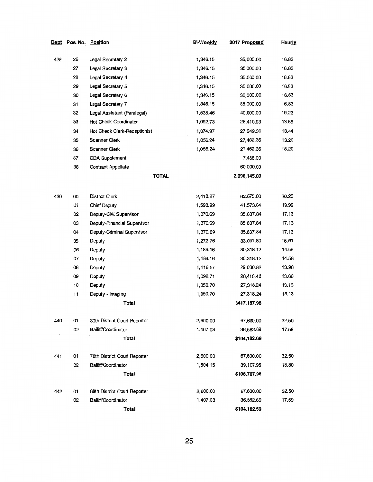| Dept | <u>Pos. No.</u> | <b>Position</b>              | <b>Bi-Weekly</b> | 2017 Proposed | <b>Hourly</b> |
|------|-----------------|------------------------------|------------------|---------------|---------------|
| 429  | 26              | Legal Secretary 2            | 1,346.15         | 35,000.00     | 16.83         |
|      | 27              | Legal Secretary 3            | 1,346.15         | 35,000.00     | 16.83         |
|      | 28              | Legal Secretary 4            | 1,346.15         | 35,000.00     | 16.83         |
|      | 29              | Legal Secretary 5            | 1,346.15         | 35,000.00     | 16.83         |
|      | 30              | Legal Secretary 6            | 1,346.15         | 35,000.00     | 16.83         |
|      | 31              | Legal Secretary 7            | 1,346.15         | 35,000.00     | 16.83         |
|      | 32              | Legal Assistant (Paralegal)  | 1,538.46         | 40,000.00     | 19.23         |
|      | 33              | Hot Check Coordinator        | 1,092.73         | 28,410.93     | 13.66         |
|      | 34              | Hot Check Clerk-Receptionist | 1,074.97         | 27,949.30     | 13.44         |
|      | 35              | Scanner Clerk                | 1,056.24         | 27,462.36     | 13.20         |
|      | 36              | Scanner Clerk                | 1,056.24         | 27,462.36     | 13.20         |
|      | 37              | <b>CDA Supplement</b>        |                  | 7,488.00      |               |
|      | 38              | Contract Appellate           |                  | 60,000.00     |               |
|      |                 | <b>TOTAL</b>                 |                  | 2,096,145.03  |               |
| 430  | OO              | <b>District Clerk</b>        | 2,418.27         | 62,875.00     | 30.23         |
|      | 01              | <b>Chief Deputy</b>          | 1,598.99         | 41,573.64     | 19.99         |
|      | 02              | Deputy-Civil Supervisor      | 1,370.69         | 35,637.84     | 17.13         |
|      | 03              | Deputy-Financial Supervisor  | 1,370.69         | 35,637.84     | 17.13         |
|      | 04              | Deputy-Criminal Supervisor   | 1,370.69         | 35,637.84     | 17.13         |
|      | 05              | Deputy                       | 1,272.76         | 33,091.80     | 15.91         |
|      | 06              | Deputy                       | 1,189.16         | 30,318.12     | 14.58         |
|      | 07              | Deputy                       | 1,189.16         | 30,318.12     | 14.58         |
|      | 08              | Deputy                       | 1,116.57         | 29,030.82     | 13.96         |
|      | 09              | Deputy                       | 1,092.71         | 28,410.48     | 13.66         |
|      | 10              | Deputy                       | 1,050.70         | 27,318.24     | 13.13         |
|      | 11              | Deputy - Imaging             | 1,050.70         | 27,318.24     | 13.13         |
|      |                 | Total                        |                  | \$417,167.98  |               |
| 440  | 01              | 30th District Court Reporter | 2,600.00         | 67,600.00     | 32.50         |
|      | 02              | Bailiff/Coordinator          | 1,407.03         | 36,582.69     | 17.59         |
|      |                 | Total                        |                  | \$104,182.69  |               |
| 441  | 01              | 78th District Court Reporter | 2,600.00         | 67,600.00     | 32.50         |
|      | 02              | Bailiff/Coordinator          | 1,504.15         | 39,107.95     | 18.80         |
|      |                 | Total                        |                  | \$106,707.95  |               |
| 442  | 01              | 89th District Court Reporter | 2,600.00         | 67,600.00     | 32.50         |
|      | 02              | Bailiff/Coordinator          | 1,407.03         | 36,582.69     | 17.59         |
|      |                 | <b>Total</b>                 |                  | \$104,182.69  |               |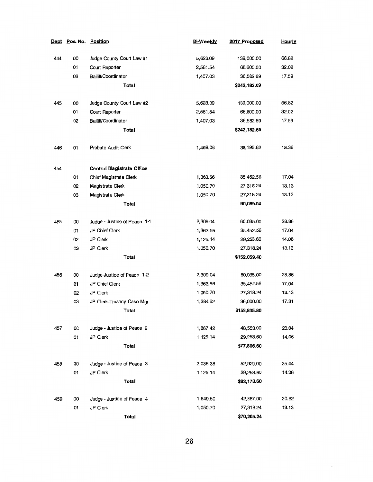| Dept |    | Pos. No. Position                | <b>Bi-Weekly</b> | 2017 Proposed | <b>Hourly</b> |
|------|----|----------------------------------|------------------|---------------|---------------|
| 444  | 00 | Judge County Court Law #1        | 5,623.09         | 139,000.00    | 66.82         |
|      | 01 | Court Reporter                   | 2,561.54         | 66,600.00     | 32.02         |
|      | 02 | Bailiff/Coordinator              | 1,407.03         | 36,582.69     | 17.59         |
|      |    | Total                            |                  | \$242,182.69  |               |
| 445  | oo | Judge County Court Law #2        | 5,623.09         | 139,000.00    | 66.82         |
|      | 01 | Court Reporter                   | 2,561.54         | 66,600.00     | 32.02         |
|      | 02 | Bailiff/Coordinator              | 1,407.03         | 36,582.69     | 17.59         |
|      |    | Total                            |                  | \$242,182.69  |               |
| 446  | 01 | Probate Audit Clerk              | 1,469.06         | 38,195.62     | 18.36         |
| 454  |    | <b>Central Magistrate Office</b> |                  |               |               |
|      | 01 | Chief Magistrate Clerk           | 1,363.56         | 35,452.56     | 17.04         |
|      | 02 | Magistrate Clerk                 | 1,050.70         | 27,318.24     | 13.13         |
|      | 03 | Magistrate Clerk                 | 1,050.70         | 27,318.24     | 13.13         |
|      |    | Total                            |                  | 90,089.04     |               |
| 455  | OO | Judge - Justice of Peace 1-1     | 2,309.04         | 60,035.00     | 28.86         |
|      | 01 | JP Chief Clerk                   | 1,363.56         | 35,452.56     | 17.04         |
|      | 02 | JP Clerk                         | 1,125.14         | 29,253.60     | 14.06         |
|      | 03 | JP Clerk                         | 1,050.70         | 27,318.24     | 13.13         |
|      |    | Total                            |                  | \$152,059.40  |               |
| 456  | 00 | Judge-Justice of Peace 1-2       | 2,309.04         | 60,035.00     | 28.86         |
|      | 01 | JP Chief Clerk                   | 1,363.56         | 35,452.56     | 17.04         |
|      | 02 | JP Clerk                         | 1,050.70         | 27,318.24     | 13.13         |
|      | 03 | JP Clerk-Truancy Case Mgr.       | 1,384.62         | 36,000.00     | 17.31         |
|      |    | Total                            |                  | \$158,805.80  |               |
| 457  | 00 | Judge - Justice of Peace 2       | 1,867.42         | 48,553.00     | 23.34         |
|      | 01 | JP Clerk                         | 1,125.14         | 29,253.60     | 14.06         |
|      |    | Total                            |                  | \$77,806.60   |               |
| 458  | 00 | Judge - Justice of Peace 3       | 2,035.38         | 52,920.00     | 25.44         |
|      | 01 | JP Clerk                         | 1,125.14         | 29,253.60     | 14.06         |
|      |    | Total                            |                  | \$82,173.60   |               |
| 459  | 00 | Judge - Justice of Peace 4       | 1,649.50         | 42,887.00     | 20.62         |
|      | 01 | JP Clerk                         | 1,050.70         | 27,318.24     | 13.13         |
|      |    | Total                            |                  | \$70,205.24   |               |

**26** 

 $\bar{z}$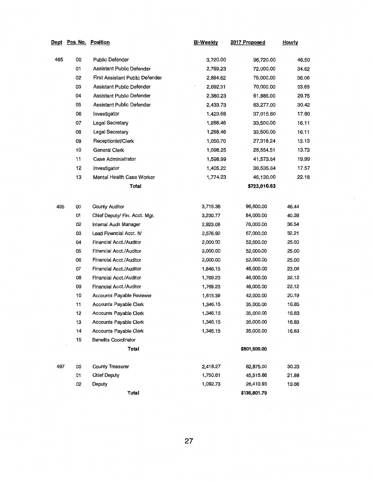|     | <u> Dept Pos No. Position</u> |                                  | Bi-Weekly | 2017 Proposed | <b>Hourly</b> |
|-----|-------------------------------|----------------------------------|-----------|---------------|---------------|
| 465 | 00                            | Public Defender                  | 3,720.00  | 96,720.00     | 46.50         |
|     | 01                            | Assistant Public Defender        | 2,769.23  | 72,000.00     | 34.62         |
|     | 02                            | First Assistant Public Defender  | 2,884.62  | 75,000.00     | 36.06         |
|     | 03                            | <b>Assistant Public Defender</b> | 2,692.31  | 70,000.00     | 33.65         |
|     | 04                            | Assistant Public Defender        | 2,380.23  | 61,886.00     | 29.75         |
|     | 05                            | Assistant Public Defender        | 2,433.73  | 63,277.00     | 30.42         |
|     | 06                            | Investigator                     | 1,423.68  | 37,015.60     | 17.80         |
|     | 07                            | Legal Secretary                  | 1,288.46  | 33,500.00     | 16.11         |
|     | 08                            | Legal Secretary                  | 1,288.46  | 33,500.00     | 16.11         |
|     | 09                            | Receptionist/Clerk               | 1,050.70  | 27,318.24     | 13.13         |
|     | 10                            | General Clerk                    | 1,098.25  | 28,554.51     | 13.73         |
|     | 11                            | Case Administrator               | 1,598.99  | 41,573.64     | 19.99         |
|     | 12                            | Investigator                     | 1,405.22  | 36,535.64     | 17.57         |
|     | 13                            | Mental Health Case Worker        | 1.774.23  | 46,130.00     | 22.18         |
|     |                               | Total                            |           | \$723,010.63  |               |
|     |                               |                                  |           |               |               |
| 495 | OO                            | County Auditor                   | 3,715.38  | 96,600.00     | 46.44         |
|     | 01                            | Chief Deputy/ Fin. Acct. Mgr.    | 3,230.77  | 84,000.00     | 40.38         |
|     | 02                            | Internal Audit Manager           | 2,923.08  | 76,000.00     | 36.54         |
|     | 03                            | Lead Financial Acct. IV          | 2,576.92  | 67,000.00     | 32.21         |
|     | 04                            | <b>Financial Acct./Auditor</b>   | 2,000.00  | 52,000.00     | 25.00         |
|     | 05                            | Financial Acct./Auditor          | 2,000.00  | 52,000.00     | 25.00         |
|     | 06                            | Financial Acct./Auditor          | 2,000.00  | 52,000.00     | 25.00         |
|     | 07                            | <b>Financial Acct./Auditor</b>   | 1,846.15  | 48,000.00     | 23.08         |
|     | 08                            | <b>Financial Acct./Auditor</b>   | 1,769.23  | 46,000.00     | 22.12         |
|     | 09                            | Financial Acct./Auditor          | 1,769.23  | 46,000.00     | 22.12         |
|     | 10                            | Accounts Payable Reviewer        | 1,615.38  | 42,000.00     | 20.19         |
|     | 11                            | Accounts Payable Clerk           | 1,346.15  | 35,000.00     | 16.83         |
|     | 12                            | Accounts Payable Clerk           | 1,346.15  | 35,000.00     | 16.83         |
|     | 13                            | Accounts Payable Clerk           | 1,346.15  | 35,000.00     | 16.83         |
|     | 14                            | Accounts Payable Clerk           | 1,346.15  | 35,000.00     | 16.83         |
|     | 15                            | <b>Benefits Coordinator</b>      |           |               |               |
|     |                               | Total                            |           | \$801,600.00  |               |
| 497 | 00                            | County Treasurer                 | 2,418.27  | 62,875.00     | 30.23         |
|     | 01                            | <b>Chief Deputy</b>              | 1,750.61  | 45,515.86     | 21.88         |
|     | 02                            | Deputy                           | 1,092.73  | 28,410.93     | 13.66         |
|     |                               | Total                            |           | \$136,801.79  |               |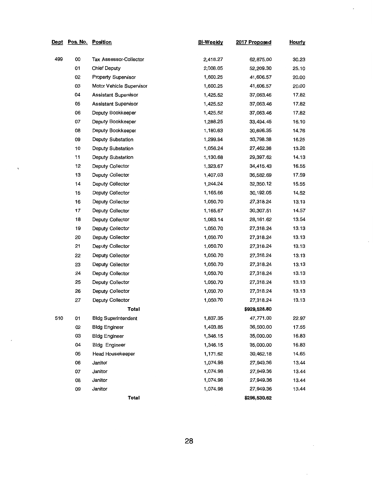| Dept | Pos. No. Position |                            | Bi-Weekly | 2017 Proposed | <b>Hourly</b> |
|------|-------------------|----------------------------|-----------|---------------|---------------|
| 499  | 00                | Tax Assessor-Collector     | 2,418.27  | 62,875.00     | 30.23         |
|      | 01                | <b>Chief Deputy</b>        | 2,008.05  | 52,209.30     | 25.10         |
|      | 02                | <b>Property Supervisor</b> | 1,600.25  | 41,606.57     | 20.00         |
|      | 03                | Motor Vehicle Supervisor   | 1,600.25  | 41,606.57     | 20.00         |
|      | 04                | Assistant Supervisor       | 1,425.52  | 37,063.46     | 17.82         |
|      | 05                | Assistant Supervisor       | 1,425.52  | 37,063.46     | 17.82         |
|      | 06                | Deputy Bookkeeper          | 1,425.52  | 37,063.46     | 17.82         |
|      | 07                | Deputy Bookkeeper          | 1,288.25  | 33,494.45     | 16.10         |
|      | 08                | Deputy Bookkeeper          | 1,180.63  | 30,696.35     | 14.76         |
|      | 09                | Deputy Substation          | 1,299.94  | 33,798.38     | 16.25         |
|      | 10                | Deputy Substation          | 1,056.24  | 27,462.36     | 13.20         |
|      | 11                | Deputy Substation          | 1,130.68  | 29,397.62     | 14.13         |
|      | 12                | Deputy Collector           | 1,323.67  | 34,415.43     | 16.55         |
|      | 13                | Deputy Collector           | 1,407.03  | 36,582.69     | 17.59         |
|      | 14                | Deputy Collector           | 1,244.24  | 32,350.12     | 15.55         |
|      | 15                | Deputy Collector           | 1,165.66  | 30,192.05     | 14.52         |
|      | 16                | Deputy Collector           | 1,050.70  | 27,318.24     | 13.13         |
|      | 17                | Deputy Collector           | 1,165.67  | 30,307.51     | 14.57         |
|      | 18                | Deputy Collector           | 1,083.14  | 28, 161.62    | 13.54         |
|      | 19                | Deputy Collector           | 1,050.70  | 27,318.24     | 13.13         |
|      | 20                | Deputy Collector           | 1,050.70  | 27,318.24     | 13.13         |
|      | 21                | Deputy Collector           | 1,050.70  | 27,318.24     | 13.13         |
|      | 22                | Deputy Collector           | 1,050.70  | 27,318.24     | 13.13         |
|      | 23                | Deputy Collector           | 1,050.70  | 27,318.24     | 13.13         |
|      | 24                | Deputy Collector           | 1,050.70  | 27,318.24     | 13.13         |
|      | 25                | Deputy Collector           | 1,050.70  | 27,318.24     | 13.13         |
|      | 26                | Deputy Collector           | 1,050.70  | 27,318.24     | 13.13         |
|      | 27                | Deputy Collector           | 1,050.70  | 27,318.24     | 13.13         |
|      |                   | Total                      |           | \$929,528.80  |               |
| 510  | 01                | <b>Bldg Superintendent</b> | 1,837.35  | 47,771.00     | 22.97         |
|      | 02                | <b>Bldg Engineer</b>       | 1,403.85  | 36,500.00     | 17.55         |
|      | 03                | <b>Bidg Engineer</b>       | 1,346.15  | 35,000.00     | 16.83         |
|      | 04                | <b>Bidg Engineer</b>       | 1,346.15  | 35,000.00     | 16.83         |
|      | 05                | Head Housekeeper           | 1,171.62  | 30,462.18     | 14.65         |
|      | 06                | Janitor                    | 1,074.98  | 27,949.36     | 13.44         |
|      | 07                | Janitor                    | 1,074.98  | 27,949.36     | 13.44         |
|      | 08                | Janitor                    | 1,074.98  | 27,949.36     | 13.44         |
|      | 09                | Janitor                    | 1,074.98  | 27,949.36     | 13.44         |
|      |                   | Total                      |           | \$296,530.62  |               |

 $\overline{a}$ 

 $\ddot{\phantom{0}}$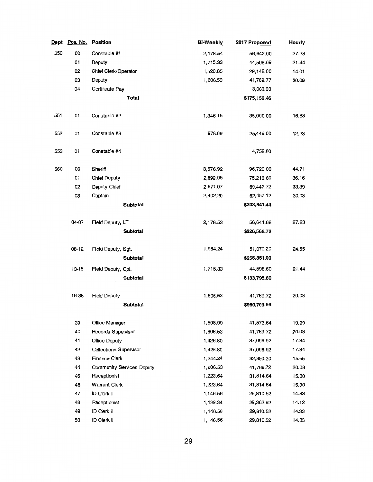| <u>Dept</u> | Pos. No.  | Position                         | <b>Bi-Weekly</b> | 2017 Proposed | <b>Hourly</b> |
|-------------|-----------|----------------------------------|------------------|---------------|---------------|
| 550         | 00        | Constable #1                     | 2,178.54         | 56,642.00     | 27.23         |
|             | 01        | Deputy                           | 1,715.33         | 44,598.69     | 21.44         |
|             | 02        | Chief Clerk/Operator             | 1,120.85         | 29,142.00     | 14.01         |
|             | OЗ        | Deputy                           | 1,606.53         | 41,769.77     | 20.08         |
|             | 04        | Certificate Pay                  |                  | 3,000.00      |               |
|             |           | <b>Total</b>                     |                  | \$175,152.46  |               |
| 551         | 01        | Constable #2                     | 1,346.15         | 35,000.00     | 16.83         |
| 552         | 01        | Constable #3                     | 978.69           | 25,446.00     | 12.23         |
| 553         | 01        | Constable #4                     |                  | 4,752.00      |               |
| 560         | 00        | Sheriff                          | 3,576.92         | 96,720.00     | 44.71         |
|             | 01        | <b>Chief Deputy</b>              | 2,892.95         | 75,216.60     | 36.16         |
|             | 02        | Deputy Chief                     | 2,671.07         | 69,447.72     | 33.39         |
|             | OЗ        | Captain                          | 2,402.20         | 62,457.12     | 30.03         |
|             |           | <b>Subtotal</b>                  |                  | \$303,841.44  |               |
|             | 04-07     | Field Deputy, LT                 | 2,178.53         | 56,641.68     | 27.23         |
|             |           | <b>Subtotal</b>                  |                  | \$226,566.72  |               |
|             | 08-12     | Field Deputy, Sgt.               | 1,964.24         | 51,070.20     | 24.55         |
|             |           | <b>Subtotal</b>                  |                  | \$255,351.00  |               |
|             | $13 - 15$ | Field Deputy, Cpl.               | 1,715.33         | 44,598.60     | 21.44         |
|             |           | <b>Subtotal</b>                  |                  | \$133,795.80  |               |
|             |           |                                  |                  |               |               |
|             | 16-38     | <b>Field Deputy</b>              | 1,606.53         | 41,769.72     | 20.08         |
|             |           | <b>Subtotal</b>                  |                  | \$960,703.56  |               |
|             | 39        | Office Manager                   | 1,598.99         | 41,573.64     | 19.99         |
|             | 40        | Records Supervisor               | 1,606.53         | 41,769.72     | 20.08         |
|             | 41        | Office Deputy                    | 1,426.80         | 37,096.92     | 17.84         |
|             | 42        | <b>Collections Supervisor</b>    | 1,426.80         | 37,096.92     | 17.84         |
|             | 43        | <b>Finance Clerk</b>             | 1,244.24         | 32,350.20     | 15.55         |
|             | 44        | <b>Community Services Deputy</b> | 1,606.53         | 41,769.72     | 20.08         |
|             | 45        | Receptionist                     | 1,223.64         | 31,814.64     | 15.30         |
|             | 46        | <b>Warrant Clerk</b>             | 1,223.64         | 31,814.64     | 15.30         |
|             | 47        | ID Clerk II                      | 1,146.56         | 29,810.52     | 14.33         |
|             | 48        | Receptionist                     | 1,129.34         | 29,362.92     | 14.12         |
|             | 49        | ID Clerk II                      | 1,146.56         | 29,810.52     | 14.33         |
|             | 50        | ID Clerk II                      | 1,146.56         | 29,810.52     | 14.33         |

 $\cdot$ 

 $\overline{\phantom{a}}$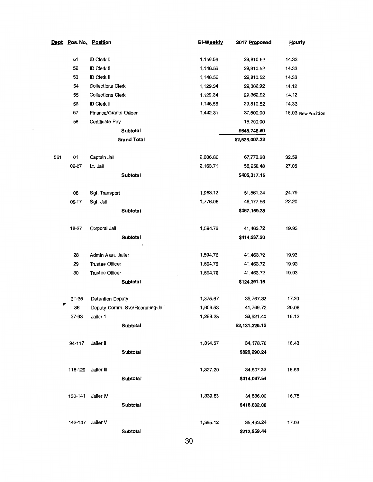| <u>Dept</u> |         | Pos. No. Position             |                                  | <b>Bi-Weekly</b> | 2017 Proposed  | <b>Hourly</b>      |
|-------------|---------|-------------------------------|----------------------------------|------------------|----------------|--------------------|
|             |         |                               |                                  |                  |                |                    |
|             | 51      | ID Clerk II                   |                                  | 1,146.56         | 29,810.52      | 14.33              |
|             | 52      | ID Clerk II                   |                                  | 1,146.56         | 29,810.52      | 14.33              |
|             | 53      | ID Clerk II                   |                                  | 1,146.56         | 29,810.52      | 14.33              |
|             | 54      | <b>Collections Clerk</b>      |                                  | 1,129.34         | 29,362.92      | 14.12              |
|             | 55      | <b>Collections Clerk</b>      |                                  | 1,129.34         | 29,362.92      | 14.12              |
|             | 56      | ID Clerk II                   |                                  | 1,146.56         | 29,810.52      | 14.33              |
|             | 57      | <b>Finance/Grants Officer</b> |                                  | 1,442.31         | 37,500.00      | 18.03 New Position |
|             | 58      | Certificate Pay               |                                  |                  | 16,200.00      |                    |
|             |         |                               | Subtotal                         |                  | \$645,748.80   |                    |
|             |         |                               | <b>Grand Total</b>               |                  | \$2,526,007.32 |                    |
|             |         |                               |                                  |                  |                |                    |
| 561         | 01      | Captain Jail                  |                                  | 2,606.86         | 67,778.28      | 32.59              |
|             | 02-07   | Lt. Jail                      |                                  | 2,163.71         | 56,256.48      | 27.05              |
|             |         |                               | Subtotal                         |                  | \$405,317.16   |                    |
|             |         |                               |                                  |                  |                |                    |
|             | 08      | Sgt. Transport                |                                  | 1,983.12         | 51,561.24      | 24.79              |
|             | 09-17   | Sgt. Jail                     |                                  | 1,776.06         | 46,177.56      | 22.20              |
|             |         |                               | <b>Subtotal</b>                  |                  | \$467,159.28   |                    |
|             |         |                               |                                  |                  |                |                    |
|             | 18-27   | Corporal Jail                 |                                  | 1,594.76         | 41,463.72      | 19.93              |
|             |         |                               | <b>Subtotal</b>                  |                  | \$414,637.20   |                    |
|             | 28      | Admin Asst. Jailer            |                                  | 1,594.76         | 41,463.72      | 19.93              |
|             | 29      | <b>Trustee Officer</b>        |                                  | 1,594.76         | 41,463.72      | 19.93              |
|             | 30      | <b>Trustee Officer</b>        |                                  | 1,594.76         | 41,463.72      | 19.93              |
|             |         |                               | Subtotal                         |                  | \$124,391.16   |                    |
|             |         |                               |                                  |                  |                |                    |
|             | 31-35   | <b>Detention Deputy</b>       |                                  | 1,375.67         | 35,767.32      | 17.20              |
|             | 36      |                               | Deputy Comm. Svc/Recruiting-Jail | 1,606.53         | 41,769.72      | 20.08              |
|             | 37-93   | Jailer 1                      |                                  | 1,289.28         | 33,521.40      | 16.12              |
|             |         |                               | Subtotal                         |                  | \$2,131,326.12 |                    |
|             |         |                               |                                  |                  |                |                    |
|             | 94-117  | Jailer II                     |                                  | 1,314.57         | 34,178.76      | 16.43              |
|             |         |                               | Subtotal                         |                  | \$820,290.24   |                    |
|             |         |                               |                                  |                  |                |                    |
|             | 118-129 | Jailer III                    |                                  | 1,327.20         | 34,507.32      | 16.59              |
|             |         |                               | Subtotal                         |                  | \$414,087.84   |                    |
|             |         |                               |                                  |                  |                |                    |
|             | 130-141 | Jailer IV                     |                                  | 1,339.85         | 34,836.00      | 16.75              |
|             |         |                               | Subtotal                         |                  | \$418,032.00   |                    |
|             |         |                               |                                  |                  |                |                    |
|             | 142-147 | Jailer V                      |                                  | 1,365.12         | 35,493.24      | 17.06              |
|             |         |                               | Subtotal                         |                  | \$212,959.44   |                    |

 $\hat{\mathcal{L}}$ 

 $\ddot{\phantom{0}}$ 

**30** 

 $\ddot{\phantom{a}}$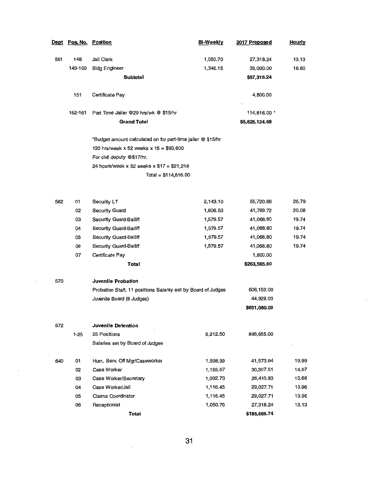| <b>Dept</b> | Pos. No. Position |                                                              | Bi-Weekly | 2017 Proposed  | <b>Hourly</b> |
|-------------|-------------------|--------------------------------------------------------------|-----------|----------------|---------------|
| 561         | 148               | Jail Clerk                                                   | 1,050.70  | 27,318.24      | 13.13         |
|             | 149-150           | <b>Bldg Engineer</b>                                         | 1,346.15  | 35,000.00      | 16.83         |
|             |                   | Subtotal                                                     |           | \$97,318.24    |               |
|             |                   |                                                              |           |                |               |
|             | 151               | Certificate Pay                                              |           | 4,800.00       |               |
|             |                   |                                                              |           |                |               |
|             | 152-161           | Part Time Jailer @29 hrs/wk @ \$15/hr                        |           | 114,816.00 *   |               |
|             |                   | <b>Grand Total</b>                                           |           | \$5,625,134.68 |               |
|             |                   | *Budget amount calculated on for part-time jailer @ \$15/hr  |           |                |               |
|             |                   | 120 hrs/week x 52 weeks x $15 = $93,600$                     |           |                |               |
|             |                   | For civil deputy @\$17/hr.                                   |           |                |               |
|             |                   | 24 hours/week x 52 weeks x \$17 = \$21,216                   |           |                |               |
|             |                   | $Total = $114,816.00$                                        |           |                |               |
|             |                   |                                                              |           |                |               |
|             |                   |                                                              |           |                |               |
| 562         | 01                | Security LT                                                  | 2,143.10  | 55,720.68      | 26.79         |
|             | 02                | Security Guard                                               | 1,606.53  | 41,769.72      | 20.08         |
|             | 03                | Security Guard-Bailiff                                       | 1,579.57  | 41,068.80      | 19.74         |
|             | 04                | <b>Security Guard-Bailiff</b>                                | 1,579.57  | 41,068.80      | 19.74         |
|             | 05                | Security Guard-Bailiff                                       | 1,579.57  | 41,068.80      | 19.74         |
|             | 06                | Security Guard-Bailiff                                       | 1,579.57  | 41,068.80      | 19.74         |
|             | 07                | Certificate Pay                                              |           | 1,800.00       |               |
|             |                   | Total                                                        |           | \$263,565.60   |               |
| 570         |                   | <b>Juvenile Probation</b>                                    |           |                |               |
|             |                   | Probation Staff, 11 positions Salaray set by Board of Judges |           | 606, 152.00    |               |
|             |                   | Juvenile Board (6 Judges)                                    |           | 44,928.00      |               |
|             |                   |                                                              |           | \$651,080.00   |               |
|             |                   | Juvenile Detention                                           |           |                |               |
| 572         | $1 - 25$          | 25 Positions                                                 | 5,212.50  | 895,655.00     |               |
|             |                   | Salaries set by Board of Judges                              |           |                |               |
|             |                   |                                                              |           |                |               |
| 640         | 01                | Hum. Serv. Off Mgr/Caseworker                                | 1,598.99  | 41,573.64      | 19.99         |
|             | 02                | Case Worker                                                  | 1,165.67  | 30,307.51      | 14.57         |
|             | 03                | Case Worker/Secretary                                        | 1,092.73  | 28,410.93      | 13.66         |
|             | 04                | Case Worker/Jail                                             | 1,116.45  | 29,027.71      | 13.96         |
|             | 05                | Claims Coordinator                                           | 1,116.45  | 29,027.71      | 13.96         |
|             | 06                | Receptionist                                                 | 1,050.70  | 27,318.24      | 13.13         |
|             |                   | Total                                                        |           | \$185,665.74   |               |

 $\ddot{\phantom{0}}$ 

 $\ddot{\phantom{0}}$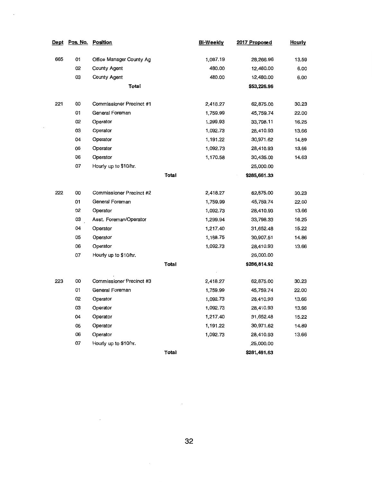| Dept | Pos. No. | Position                 |       | <b>Bi-Weekly</b> | 2017 Proposed | <b>Hourly</b>  |
|------|----------|--------------------------|-------|------------------|---------------|----------------|
| 665  | 01       | Office Manager County Ag |       | 1,087.19         | 28,266.96     | 13.59          |
|      | 02       | <b>County Agent</b>      |       | 480.00           | 12,480.00     | 6.00           |
|      | ОЗ       | County Agent             |       | 480.00           | 12,480.00     | 6.00           |
|      |          | Total                    |       |                  | \$53,226.96   |                |
|      |          |                          |       |                  |               |                |
| 221  | oo       | Commissioner Precinct #1 |       | 2,418.27         | 62,875.00     | 30.23          |
|      | 01       | General Foreman          |       | 1,759.99         | 45,759.74     | 22.00          |
|      | 02       | Operator                 |       | 1,299.93         | 33,798.11     | 16.25          |
|      | 03       | Operator                 |       | 1,092.73         | 28,410.93     | 13.66          |
|      | 04       | Operator                 |       | 1,191.22         | 30,971.62     | 14.89          |
|      | 05       | Operator                 |       | 1,092.73         | 28,410.93     | 13.66          |
|      | 06       | Operator                 |       | 1,170.58         | 30,435.00     | 14.63          |
|      | 07       | Hourly up to \$10/hr.    |       |                  | 25,000.00     |                |
|      |          |                          | Total |                  | \$285,661.33  |                |
|      |          |                          |       |                  |               |                |
| 222  | oo       | Commissioner Precinct #2 |       | 2,418.27         | 62,875.00     | 30.23          |
|      | 01       | General Foreman          |       | 1,759.99         | 45,759.74     | 22.00          |
|      | 02       | Operator                 |       | 1,092.73         | 28,410.93     | 13.66          |
|      | ОЗ       | Asst. Foreman/Operator   |       | 1,299.94         | 33,798.33     | 16.25          |
|      | 04       | Operator                 |       | 1,217.40         | 31,652.48     | 15.22          |
|      | 05       | Operator                 |       | 1,188.75         | 30,907.51     | 14.86          |
|      | 06       | Operator                 |       | 1,092.73         | 28,410.93     | 13.66          |
|      | 07       | Hourly up to \$10/hr.    |       |                  | 25,000.00     |                |
|      |          |                          | Total |                  | \$286,814.92  |                |
|      |          |                          |       |                  |               | 30.23          |
| 223  | oo       | Commissioner Precinct #3 |       | 2,418.27         | 62,875.00     | 22.00          |
|      | 01       | General Foreman          |       | 1,759.99         | 45,759.74     | 13.66          |
|      | 02       | Operator                 |       | 1,092.73         | 28,410.93     |                |
|      | 03       | Operator                 |       | 1,092.73         | 28,410.93     | 13.66          |
|      | 04       | Operator                 |       | 1,217.40         | 31,652.48     | 15.22          |
|      | 05       | Operator                 |       | 1,191.22         | 30,971.62     | 14.89<br>13.66 |
|      | 06       | Operator                 |       | 1,092.73         | 28,410.93     |                |
|      | 07       | Hourly up to \$10/hr.    |       |                  | ,25,000.00    |                |
|      |          |                          | Total |                  | \$281,491.63  |                |

 $\mathcal{L}$ 

 $\lambda$ 

 $\mathbb{R}^2$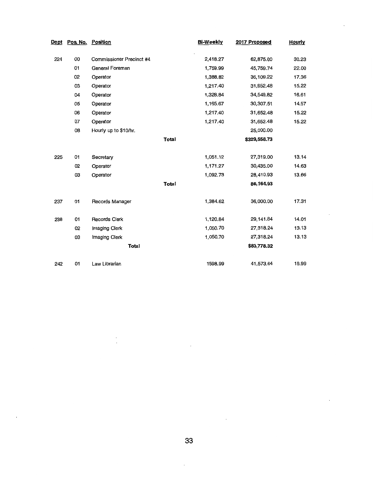| <u>Dept</u> | Pos. No. | <b>Position</b>          |              | <b>Bi-Weekly</b> | 2017 Proposed | <b>Hourly</b> |
|-------------|----------|--------------------------|--------------|------------------|---------------|---------------|
| 00<br>224   |          | Commissioner Precinct #4 |              | 2,418.27         | 62,875.00     | 30.23         |
|             | 01       | General Foreman          |              | 1,759.99         | 45,759.74     | 22.00         |
|             | 02       | Operator                 |              | 1,388.82         | 36,109.22     | 17.36         |
|             | 03       | Operator                 |              | 1,217.40         | 31,652.48     | 15.22         |
|             | 04       | Operator                 |              | 1,328.84         | 34,549.82     | 16.61         |
|             | 05       | Operator                 |              | 1,165.67         | 30,307.51     | 14.57         |
|             | 06       | Operator                 |              | 1,217.40         | 31,652.48     | 15.22         |
|             | 07       | Operator                 |              | 1,217.40         | 31,652.48     | 15.22         |
|             | 08       | Hourly up to \$10/hr.    |              |                  | 25,000.00     |               |
|             |          |                          | <b>Total</b> |                  | \$329,558.73  |               |
|             |          |                          |              |                  |               |               |
| 225         | 01       | Secretary                |              | 1,051.12         | 27,319.00     | 13.14         |
|             | 02       | Operator                 |              | 1,171.27         | 30,435.00     | 14.63         |
|             | 03       | Operator                 |              | 1,092.73         | 28,410.93     | 13.66         |
|             |          |                          | <b>Total</b> |                  | 86,164.93     |               |
| 237         | 01       | Records Manager          |              | 1,384.62         | 36,000.00     | 17.31         |
| 238         | 01       | <b>Records Clerk</b>     |              | 1,120.84         | 29,141.84     | 14.01         |
|             | 02       | Imaging Clerk            |              | 1,050.70         | 27,318.24     | 13.13         |
|             | 03       | Imaging Clerk            |              | 1,050.70         | 27,318.24     | 13.13         |
|             |          | <b>Total</b>             |              |                  | \$83,778.32   |               |
| 242         | 01       | Law Librarian            |              | 1598.99          | 41,573.64     | 19.99         |

J,

 $\ddot{\phantom{a}}$ 

 $\frac{1}{2}$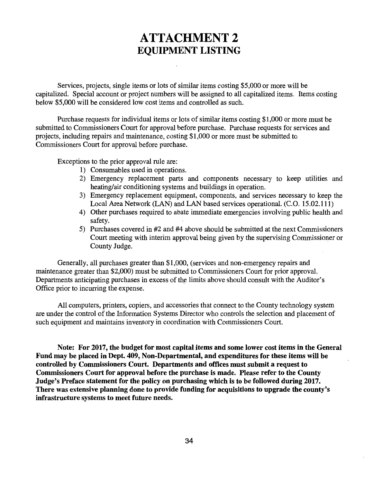## **ATTACHMENT 2**  EQUIPMENT LISTING

Services, projects, single items or lots of similar items costing \$5,000 or more will be capitalized. Special account or project numbers will be assigned to all capitalized items. Items costing below \$5,000 will be considered low cost items and controlled as such.

Purchase requests for individual items or lots of similar items costing \$1,000 or more must be submitted to Commissioners Court for approval before purchase. Purchase requests for services and projects, including repairs and maintenance, costing \$1,000 or more must be submitted to Commissioners Court for approval before purchase.

Exceptions to the prior approval rule are:

- 1) Consumables used in operations.
- 2) Emergency replacement parts and components necessary to keep utilities and heating/air conditioning systems and buildings in operation.
- 3) Emergency replacement equipment, components, and services necessary to keep the Local Area Network (LAN) and LAN based services operational. (C.O. 15.02.111)
- 4) Other purchases required to abate immediate emergencies involving public health and safety.
- 5) Purchases covered in #2 and #4 above should be submitted at the next Commissioners Court meeting with interim approval being given by the supervising Commissioner or County Judge.

Generally, all purchases greater than \$1,000, (services and non-emergency repairs and maintenance greater than \$2,000) must be submitted to Commissioners Court for prior approval. Departments anticipating purchases in excess of the limits above should consult with the Auditor's Office prior to incurring the expense.

All computers, printers, copiers, and accessories that connect to the County technology system are under the control of the Information Systems Director who controls the selection and placement of such equipment and maintains inventory in coordination with Commissioners Court.

Note: For 2017, the budget for most capital items and some lower cost items in the General Fund may be placed in Dept. 409, Non-Departmental, and expenditures for these items will be controlled by Commissioners Court. Departments and offices must submit a request to Commissioners Court for approval before the purchase is made. Please refer to the County Judge's Preface statement for the policy on purchasing which is to be followed during 2017. There was extensive planning done to provide funding for acquisitions to upgrade the county's infrastructure systems to meet future needs.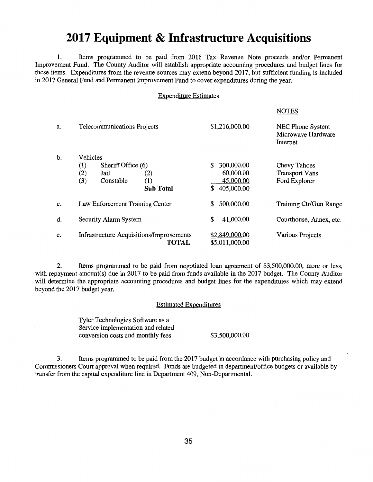## **2017 Equipment & Infrastructure Acquisitions**

1. Items programmed to be paid from 2016 Tax Revenue Note proceeds and/or Permanent Improvement Fund. The County Auditor will establish appropriate accounting procedures and budget lines for these items. Expenditures from the revenue sources may extend beyond 2017, but sufficient funding is included in 2017 General Fund and Permanent Improvement Fund to cover expenditures during the year.

#### Expenditure Estimates

**NOTE**S

|    |                                                                          |                                                                 |                                                                | NUILS                                                  |
|----|--------------------------------------------------------------------------|-----------------------------------------------------------------|----------------------------------------------------------------|--------------------------------------------------------|
| a. | Telecommunications Projects                                              |                                                                 | \$1,216,000.00                                                 | NEC Phone System<br>Microwave Hardware<br>Internet     |
| b. | Vehicles<br>Sheriff Office (6)<br>(1)<br>(2)<br>Jail<br>(3)<br>Constable | $\rm(2)$<br>(1)<br><b>Sub Total</b>                             | 300,000.00<br>\$<br>60,000.00<br>45,000.00<br>405,000.00<br>\$ | Chevy Tahoes<br><b>Transport Vans</b><br>Ford Explorer |
| c. | Law Enforcement Training Center                                          |                                                                 | 500,000.00<br>\$                                               | Training Ctr/Gun Range                                 |
| d. | Security Alarm System                                                    |                                                                 | 41,000.00<br>\$                                                | Courthouse, Annex, etc.                                |
| e. |                                                                          | <b>Infrastructure Acquisitions/Improvements</b><br><b>TOTAL</b> | \$2,849,000.00<br>\$5,011,000.00                               | Various Projects                                       |

2. Items programmed to be paid from negotiated loan agreement of \$3,500,000.00, more or less, with repayment amount(s) due in 2017 to be paid from funds available in the 2017 budget. The County Auditor will determine the appropriate accounting procedures and budget lines for the expenditures which may extend beyond the 2017 budget year.

#### Estimated Expenditures

Tyler Technologies Software as a Service implementation and related conversion costs and monthly fees \$3,500,000.00

3. Items programmed to be paid from the 2017 budget in accordance with purchasing policy and Commissioners Court approval when required. Funds are budgeted in department/office budgets or available by transfer from the capital expenditure line in Department 409, Non-Departmental.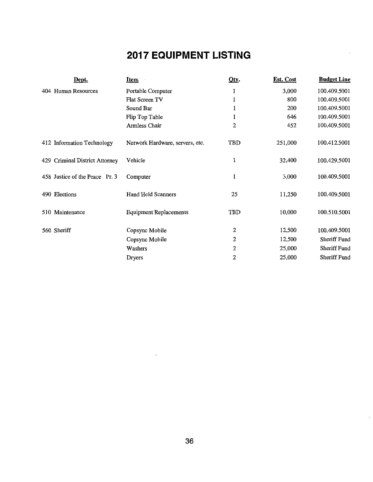# **2017 EQUIPMENT LISTING**

|     | Dept.                             | <u>Item</u>                     | Qty.         | Est. Cost | <b>Budget Line</b> |
|-----|-----------------------------------|---------------------------------|--------------|-----------|--------------------|
|     | 404 Human Resources               | Portable Computer               | 1            | 3,000     | 100.409.5001       |
|     |                                   | Flat Screen TV                  | 1            | 800       | 100.409.5001       |
|     |                                   | Sound Bar                       |              | 200       | 100.409.5001       |
|     |                                   | Flip Top Table                  | 1            | 646       | 100.409.5001       |
|     |                                   | Armless Chair                   | $\mathbf{2}$ | 452       | 100.409.5001       |
|     | 412 Information Technology        | Network Hardware, servers, etc. | TBD          | 251,000   | 100.412.5001       |
| 429 | <b>Criminal District Attorney</b> | Vehicle                         | 1            | 32,400    | 100.429.5001       |
|     | 458 Justice of the Peace Pr. 3    | Computer                        | 1            | 3,000     | 100.409.5001       |
|     | 490 Elections                     | <b>Hand Held Scanners</b>       | 25           | 11,250    | 100.409.5001       |
|     | 510 Maintenance                   | <b>Equipment Replacements</b>   | TBD          | 10,000    | 100.510.5001       |
|     | 560 Sheriff                       | Copsync Mobile                  | 2            | 12,500    | 100.409.5001       |
|     |                                   | Copsync Mobile                  | 2            | 12,500    | Sheriff Fund       |
|     |                                   | Washers                         | 2            | 25,000    | Sheriff Fund       |
|     |                                   | Dryers                          | 2            | 25,000    | Sheriff Fund       |